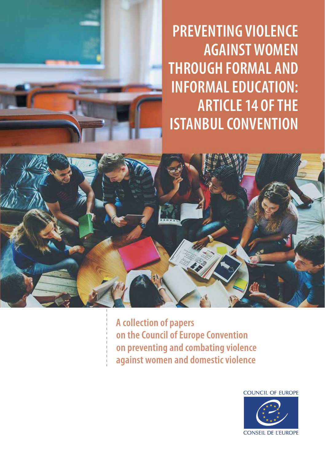**PREVENTING VIOLENCE AGAINST WOMEN THROUGH FORMAL AND INFORMAL EDUCATION: ARTICLE 14 OF THE ISTANBUL CONVENTION**



**A collection of papers on the Council of Europe Convention on preventing and combating violence against women and domestic violence**

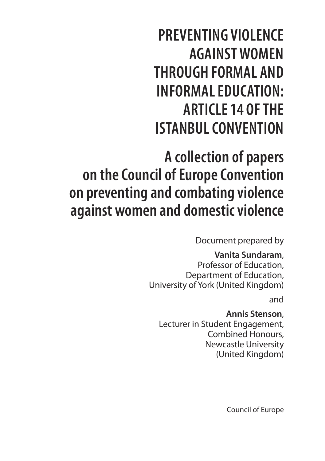**PREVENTING VIOLENCE AGAINST WOMEN THROUGH FORMAL AND INFORMAL EDUCATION: ARTICLE 14 OF THE ISTANBUL CONVENTION**

**A collection of papers on the Council of Europe Convention on preventing and combating violence against women and domestic violence**

Document prepared by

## **Vanita Sundaram**,

Professor of Education, Department of Education, University of York (United Kingdom)

and

**Annis Stenson**, Lecturer in Student Engagement, Combined Honours, Newcastle University (United Kingdom)

Council of Europe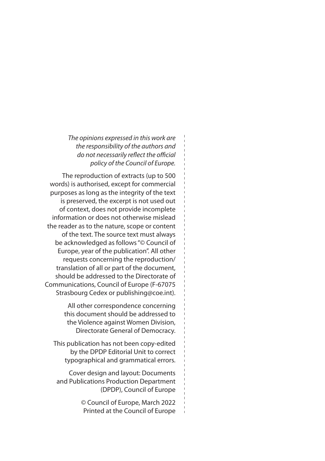*The opinions expressed in this work are the responsibility of the authors and do not necessarily reflect the official policy of the Council of Europe.*

The reproduction of extracts (up to 500 words) is authorised, except for commercial purposes as long as the integrity of the text is preserved, the excerpt is not used out of context, does not provide incomplete information or does not otherwise mislead the reader as to the nature, scope or content of the text. The source text must always be acknowledged as follows "© Council of Europe, year of the publication". All other requests concerning the reproduction/ translation of all or part of the document, should be addressed to the Directorate of Communications, Council of Europe (F-67075 Strasbourg Cedex or publishing@coe.int).

> All other correspondence concerning this document should be addressed to the Violence against Women Division, Directorate General of Democracy.

This publication has not been copy-edited by the DPDP Editorial Unit to correct typographical and grammatical errors.

Cover design and layout: Documents and Publications Production Department (DPDP), Council of Europe

> © Council of Europe, March 2022 Printed at the Council of Europe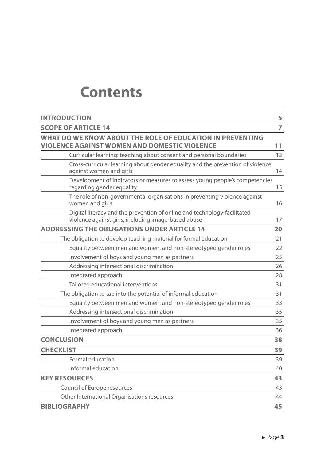## **Contents**

| <b>INTRODUCTION</b>                                                                                                             | 5              |
|---------------------------------------------------------------------------------------------------------------------------------|----------------|
| <b>SCOPE OF ARTICLE 14</b>                                                                                                      | $\overline{7}$ |
| WHAT DO WE KNOW ABOUT THE ROLE OF EDUCATION IN PREVENTING<br>VIOLENCE AGAINST WOMEN AND DOMESTIC VIOLENCE                       | 11             |
| Curricular learning: teaching about consent and personal boundaries                                                             | 13             |
| Cross-curricular learning about gender equality and the prevention of violence<br>against women and girls                       | 14             |
| Development of indicators or measures to assess young people's competencies<br>regarding gender equality                        | 15             |
| The role of non-governmental organisations in preventing violence against<br>women and girls                                    | 16             |
| Digital literacy and the prevention of online and technology-facilitated<br>violence against girls, including image-based abuse | 17             |
| <b>ADDRESSING THE OBLIGATIONS UNDER ARTICLE 14</b>                                                                              | 20             |
| The obligation to develop teaching material for formal education                                                                | 21             |
| Equality between men and women, and non-stereotyped gender roles                                                                | 22             |
| Involvement of boys and young men as partners                                                                                   | 25             |
| Addressing intersectional discrimination                                                                                        | 26             |
| Integrated approach                                                                                                             | 28             |
| Tailored educational interventions                                                                                              | 31             |
| The obligation to tap into the potential of informal education                                                                  | 31             |
| Equality between men and women, and non-stereotyped gender roles                                                                | 33             |
| Addressing intersectional discrimination                                                                                        | 35             |
| Involvement of boys and young men as partners                                                                                   | 35             |
| Integrated approach                                                                                                             | 36             |
| <b>CONCLUSION</b>                                                                                                               | 38             |
| <b>CHECKLIST</b>                                                                                                                | 39             |
| Formal education                                                                                                                | 39             |
| Informal education                                                                                                              | 40             |
| <b>KEY RESOURCES</b>                                                                                                            | 43             |
| Council of Europe resources                                                                                                     | 43             |
| Other International Organisations resources                                                                                     | 44             |
| <b>BIBLIOGRAPHY</b>                                                                                                             | 45             |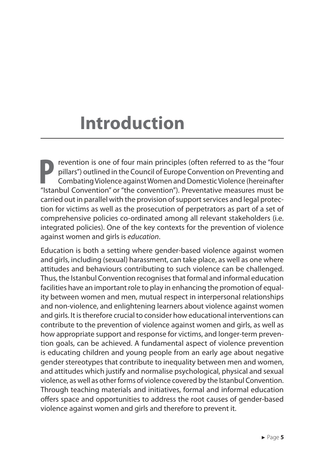# <span id="page-5-0"></span>**Introduction**

**P** revention is one of four main principles (often referred to as the "four pillars") outlined in the Council of Europe Convention on Preventing and Combating Violence against Women and Domestic Violence (hereinafter "Istanbul Convention" or "the convention"). Preventative measures must be carried out in parallel with the provision of support services and legal protection for victims as well as the prosecution of perpetrators as part of a set of comprehensive policies co-ordinated among all relevant stakeholders (i.e. integrated policies). One of the key contexts for the prevention of violence against women and girls is *education*.

Education is both a setting where gender-based violence against women and girls, including (sexual) harassment, can take place, as well as one where attitudes and behaviours contributing to such violence can be challenged. Thus, the Istanbul Convention recognises that formal and informal education facilities have an important role to play in enhancing the promotion of equality between women and men, mutual respect in interpersonal relationships and non-violence, and enlightening learners about violence against women and girls. It is therefore crucial to consider how educational interventions can contribute to the prevention of violence against women and girls, as well as how appropriate support and response for victims, and longer-term prevention goals, can be achieved. A fundamental aspect of violence prevention is educating children and young people from an early age about negative gender stereotypes that contribute to inequality between men and women, and attitudes which justify and normalise psychological, physical and sexual violence, as well as other forms of violence covered by the Istanbul Convention. Through teaching materials and initiatives, formal and informal education offers space and opportunities to address the root causes of gender-based violence against women and girls and therefore to prevent it.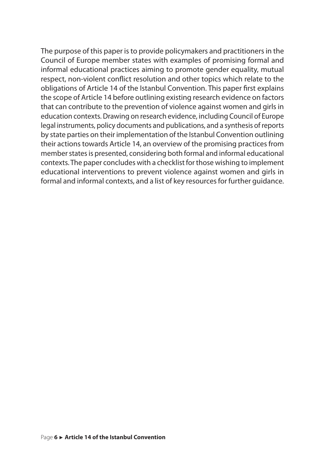The purpose of this paper is to provide policymakers and practitioners in the Council of Europe member states with examples of promising formal and informal educational practices aiming to promote gender equality, mutual respect, non-violent conflict resolution and other topics which relate to the obligations of Article 14 of the Istanbul Convention. This paper first explains the scope of Article 14 before outlining existing research evidence on factors that can contribute to the prevention of violence against women and girls in education contexts. Drawing on research evidence, including Council of Europe legal instruments, policy documents and publications, and a synthesis of reports by state parties on their implementation of the Istanbul Convention outlining their actions towards Article 14, an overview of the promising practices from member states is presented, considering both formal and informal educational contexts. The paper concludes with a checklist for those wishing to implement educational interventions to prevent violence against women and girls in formal and informal contexts, and a list of key resources for further guidance.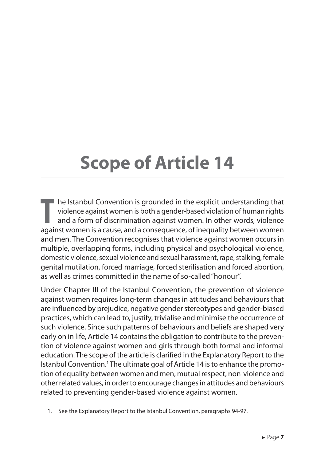# <span id="page-7-0"></span>**Scope of Article 14**

**T** he Istanbul Convention is grounded in the explicit understanding that violence against women is both a gender-based violation of human rights and a form of discrimination against women. In other words, violence against women is a cause, and a consequence, of inequality between women and men. The Convention recognises that violence against women occurs in multiple, overlapping forms, including physical and psychological violence, domestic violence, sexual violence and sexual harassment, rape, stalking, female genital mutilation, forced marriage, forced sterilisation and forced abortion, as well as crimes committed in the name of so-called "honour".

Under Chapter III of the Istanbul Convention, the prevention of violence against women requires long-term changes in attitudes and behaviours that are influenced by prejudice, negative gender stereotypes and gender-biased practices, which can lead to, justify, trivialise and minimise the occurrence of such violence. Since such patterns of behaviours and beliefs are shaped very early on in life, Article 14 contains the obligation to contribute to the prevention of violence against women and girls through both formal and informal education. The scope of the article is clarified in the Explanatory Report to the Istanbul Convention.<sup>1</sup> The ultimate goal of Article 14 is to enhance the promotion of equality between women and men, mutual respect, non-violence and other related values, in order to encourage changes in attitudes and behaviours related to preventing gender-based violence against women.

<sup>1.</sup> See the Explanatory Report to the Istanbul Convention, paragraphs 94-97.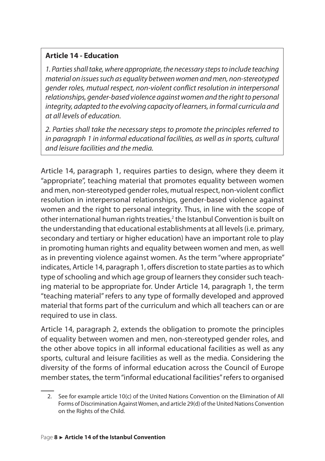#### **Article 14 ‑ Education**

*1. Parties shall take, where appropriate, the necessary steps to include teaching material on issues such as equality between women and men, non-stereotyped gender roles, mutual respect, non-violent conflict resolution in interpersonal relationships, gender-based violence against women and the right to personal integrity, adapted to the evolving capacity of learners, in formal curricula and at all levels of education.* 

*2. Parties shall take the necessary steps to promote the principles referred to in paragraph 1 in informal educational facilities, as well as in sports, cultural and leisure facilities and the media.*

Article 14, paragraph 1, requires parties to design, where they deem it "appropriate", teaching material that promotes equality between women and men, non-stereotyped gender roles, mutual respect, non-violent conflict resolution in interpersonal relationships, gender-based violence against women and the right to personal integrity. Thus, in line with the scope of other international human rights treaties,<sup>2</sup> the Istanbul Convention is built on the understanding that educational establishments at all levels (i.e. primary, secondary and tertiary or higher education) have an important role to play in promoting human rights and equality between women and men, as well as in preventing violence against women. As the term "where appropriate" indicates, Article 14, paragraph 1, offers discretion to state parties as to which type of schooling and which age group of learners they consider such teaching material to be appropriate for. Under Article 14, paragraph 1, the term "teaching material" refers to any type of formally developed and approved material that forms part of the curriculum and which all teachers can or are required to use in class.

Article 14, paragraph 2, extends the obligation to promote the principles of equality between women and men, non-stereotyped gender roles, and the other above topics in all informal educational facilities as well as any sports, cultural and leisure facilities as well as the media. Considering the diversity of the forms of informal education across the Council of Europe member states, the term "informal educational facilities" refers to organised

<sup>2.</sup> See for example article 10(c) of the United Nations Convention on the Elimination of All Forms of Discrimination Against Women, and article 29(d) of the United Nations Convention on the Rights of the Child.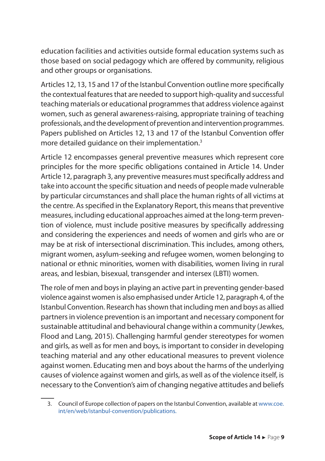education facilities and activities outside formal education systems such as those based on social pedagogy which are offered by community, religious and other groups or organisations.

Articles 12, 13, 15 and 17 of the Istanbul Convention outline more specifically the contextual features that are needed to support high-quality and successful teaching materials or educational programmes that address violence against women, such as general awareness-raising, appropriate training of teaching professionals, and the development of prevention and intervention programmes. Papers published on Articles 12, 13 and 17 of the Istanbul Convention offer more detailed quidance on their implementation.<sup>3</sup>

Article 12 encompasses general preventive measures which represent core principles for the more specific obligations contained in Article 14. Under Article 12, paragraph 3, any preventive measures must specifically address and take into account the specific situation and needs of people made vulnerable by particular circumstances and shall place the human rights of all victims at the centre. As specified in the Explanatory Report, this means that preventive measures, including educational approaches aimed at the long-term prevention of violence, must include positive measures by specifically addressing and considering the experiences and needs of women and girls who are or may be at risk of intersectional discrimination. This includes, among others, migrant women, asylum-seeking and refugee women, women belonging to national or ethnic minorities, women with disabilities, women living in rural areas, and lesbian, bisexual, transgender and intersex (LBTI) women.

The role of men and boys in playing an active part in preventing gender-based violence against women is also emphasised under Article 12, paragraph 4, of the Istanbul Convention. Research has shown that including men and boys as allied partners in violence prevention is an important and necessary component for sustainable attitudinal and behavioural change within a community (Jewkes, Flood and Lang, 2015). Challenging harmful gender stereotypes for women and girls, as well as for men and boys, is important to consider in developing teaching material and any other educational measures to prevent violence against women. Educating men and boys about the harms of the underlying causes of violence against women and girls, as well as of the violence itself, is necessary to the Convention's aim of changing negative attitudes and beliefs

<sup>3.</sup> Council of Europe collection of papers on the Istanbul Convention, available at [www.coe.](https://www.coe.int/en/web/istanbul-convention/publications) [int/en/web/istanbul-convention/publications](https://www.coe.int/en/web/istanbul-convention/publications).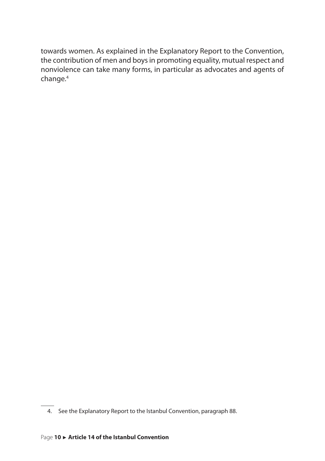towards women. As explained in the Explanatory Report to the Convention, the contribution of men and boys in promoting equality, mutual respect and nonviolence can take many forms, in particular as advocates and agents of change.<sup>4</sup>

<sup>4.</sup> See the Explanatory Report to the Istanbul Convention, paragraph 88.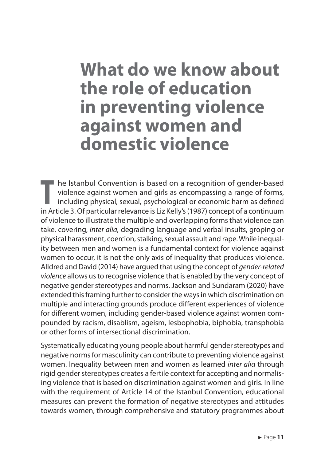## <span id="page-11-0"></span>**What do we know about the role of education in preventing violence against women and domestic violence**

**T** he Istanbul Convention is based on a recognition of gender-based violence against women and girls as encompassing a range of forms, including physical, sexual, psychological or economic harm as defined in Article 3. Of particular relevance is Liz Kelly's (1987) concept of a continuum of violence to illustrate the multiple and overlapping forms that violence can take, covering, *inter alia,* degrading language and verbal insults, groping or physical harassment, coercion, stalking, sexual assault and rape. While inequality between men and women is a fundamental context for violence against women to occur, it is not the only axis of inequality that produces violence. Alldred and David (2014) have argued that using the concept of *gender-related violence* allows us to recognise violence that is enabled by the very concept of negative gender stereotypes and norms. Jackson and Sundaram (2020) have extended this framing further to consider the ways in which discrimination on multiple and interacting grounds produce different experiences of violence for different women, including gender-based violence against women compounded by racism, disablism, ageism, lesbophobia, biphobia, transphobia or other forms of intersectional discrimination.

Systematically educating young people about harmful gender stereotypes and negative norms for masculinity can contribute to preventing violence against women. Inequality between men and women as learned *inter alia* through rigid gender stereotypes creates a fertile context for accepting and normalising violence that is based on discrimination against women and girls. In line with the requirement of Article 14 of the Istanbul Convention, educational measures can prevent the formation of negative stereotypes and attitudes towards women, through comprehensive and statutory programmes about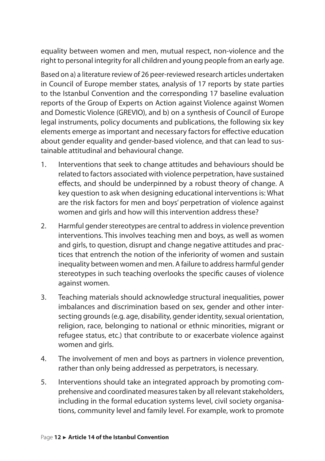equality between women and men, mutual respect, non-violence and the right to personal integrity for all children and young people from an early age.

Based on a) a literature review of 26 peer-reviewed research articles undertaken in Council of Europe member states, analysis of 17 reports by state parties to the Istanbul Convention and the corresponding 17 baseline evaluation reports of the Group of Experts on Action against Violence against Women and Domestic Violence (GREVIO), and b) on a synthesis of Council of Europe legal instruments, policy documents and publications, the following six key elements emerge as important and necessary factors for effective education about gender equality and gender-based violence, and that can lead to sustainable attitudinal and behavioural change.

- 1. Interventions that seek to change attitudes and behaviours should be related to factors associated with violence perpetration, have sustained effects, and should be underpinned by a robust theory of change. A key question to ask when designing educational interventions is: What are the risk factors for men and boys' perpetration of violence against women and girls and how will this intervention address these?
- 2. Harmful gender stereotypes are central to address in violence prevention interventions. This involves teaching men and boys, as well as women and girls, to question, disrupt and change negative attitudes and practices that entrench the notion of the inferiority of women and sustain inequality between women and men. A failure to address harmful gender stereotypes in such teaching overlooks the specific causes of violence against women.
- 3. Teaching materials should acknowledge structural inequalities, power imbalances and discrimination based on sex, gender and other intersecting grounds (e.g. age, disability, gender identity, sexual orientation, religion, race, belonging to national or ethnic minorities, migrant or refugee status, etc.) that contribute to or exacerbate violence against women and girls.
- 4. The involvement of men and boys as partners in violence prevention, rather than only being addressed as perpetrators, is necessary.
- 5. Interventions should take an integrated approach by promoting comprehensive and coordinated measures taken by all relevant stakeholders, including in the formal education systems level, civil society organisations, community level and family level. For example, work to promote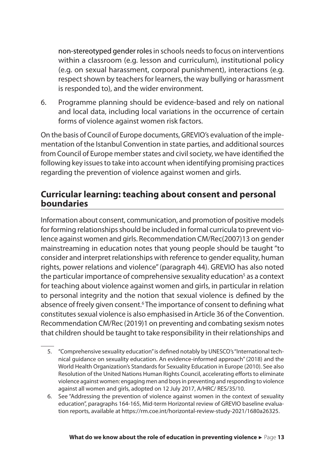<span id="page-13-0"></span>non-stereotyped gender roles in schools needs to focus on interventions within a classroom (e.g. lesson and curriculum), institutional policy (e.g. on sexual harassment, corporal punishment), interactions (e.g. respect shown by teachers for learners, the way bullying or harassment is responded to), and the wider environment.

6. Programme planning should be evidence-based and rely on national and local data, including local variations in the occurrence of certain forms of violence against women risk factors.

On the basis of Council of Europe documents, GREVIO's evaluation of the implementation of the Istanbul Convention in state parties, and additional sources from Council of Europe member states and civil society, we have identified the following key issues to take into account when identifying promising practices regarding the prevention of violence against women and girls.

## **Curricular learning: teaching about consent and personal boundaries**

Information about consent, communication, and promotion of positive models for forming relationships should be included in formal curricula to prevent violence against women and girls. Recommendation CM/Rec(2007)13 on gender mainstreaming in education notes that young people should be taught "to consider and interpret relationships with reference to gender equality, human rights, power relations and violence" (paragraph 44). GREVIO has also noted the particular importance of comprehensive sexuality education<sup>5</sup> as a context for teaching about violence against women and girls, in particular in relation to personal integrity and the notion that sexual violence is defined by the absence of freely given consent.<sup>6</sup> The importance of consent to defining what constitutes sexual violence is also emphasised in Article 36 of the Convention. Recommendation CM/Rec (2019)1 on preventing and combating sexism notes that children should be taught to take responsibility in their relationships and

- 5. "Comprehensive sexuality education" is defined notably by UNESCO's "International technical guidance on sexuality education. An evidence-informed approach" (2018) and the World Health Organization's Standards for Sexuality Education in Europe (2010). See also Resolution of the United Nations Human Rights Council, accelerating efforts to eliminate violence against women: engaging men and boys in preventing and responding to violence against all women and girls, adopted on 12 July 2017, A/HRC/ RES/35/10.
- 6. See "Addressing the prevention of violence against women in the context of sexuality education", paragraphs 164-165, Mid-term Horizontal review of GREVIO baseline evaluation reports, available at https://rm.coe.int/horizontal-review-study-2021/1680a26325.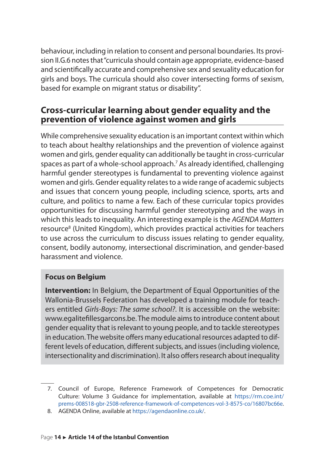<span id="page-14-0"></span>behaviour, including in relation to consent and personal boundaries. Its provision II.G.6 notes that "curricula should contain age appropriate, evidence-based and scientifically accurate and comprehensive sex and sexuality education for girls and boys. The curricula should also cover intersecting forms of sexism, based for example on migrant status or disability".

## **Cross‑curricular learning about gender equality and the prevention of violence against women and girls**

While comprehensive sexuality education is an important context within which to teach about healthy relationships and the prevention of violence against women and girls, gender equality can additionally be taught in cross-curricular spaces as part of a whole-school approach.<sup>7</sup> As already identified, challenging harmful gender stereotypes is fundamental to preventing violence against women and girls. Gender equality relates to a wide range of academic subjects and issues that concern young people, including science, sports, arts and culture, and politics to name a few. Each of these curricular topics provides opportunities for discussing harmful gender stereotyping and the ways in which this leads to inequality. An interesting example is the *AGENDA Matters* resource<sup>8</sup> (United Kingdom), which provides practical activities for teachers to use across the curriculum to discuss issues relating to gender equality, consent, bodily autonomy, intersectional discrimination, and gender-based harassment and violence.

#### **Focus on Belgium**

**Intervention:** In Belgium, the Department of Equal Opportunities of the Wallonia-Brussels Federation has developed a training module for teachers entitled *Girls-Boys: The same school?*. It is accessible on the website: www.egalitefillesgarcons.be. The module aims to introduce content about gender equality that is relevant to young people, and to tackle stereotypes in education. The website offers many educational resources adapted to different levels of education, different subjects, and issues (including violence, intersectionality and discrimination). It also offers research about inequality

<sup>7.</sup> Council of Europe, Reference Framework of Competences for Democratic Culture: Volume 3 Guidance for implementation, available at [https://rm.coe.int/](https://rm.coe.int/prems-008518-gbr-2508-reference-framework-of-competences-vol-3-8575-co/16807bc66e) [prems-008518-gbr-2508-reference-framework-of-competences-vol-3-8575-co/16807bc66e](https://rm.coe.int/prems-008518-gbr-2508-reference-framework-of-competences-vol-3-8575-co/16807bc66e).

<sup>8.</sup> AGENDA Online, available at [https://agendaonline.co.uk/.](https://agendaonline.co.uk/)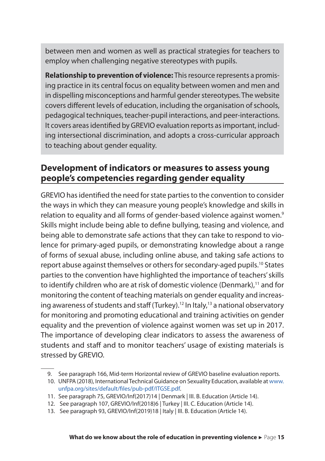<span id="page-15-0"></span>between men and women as well as practical strategies for teachers to employ when challenging negative stereotypes with pupils.

**Relationship to prevention of violence:** This resource represents a promising practice in its central focus on equality between women and men and in dispelling misconceptions and harmful gender stereotypes. The website covers different levels of education, including the organisation of schools, pedagogical techniques, teacher-pupil interactions, and peer-interactions. It covers areas identified by GREVIO evaluation reports as important, including intersectional discrimination, and adopts a cross-curricular approach to teaching about gender equality.

## **Development of indicators or measures to assess young people's competencies regarding gender equality**

GREVIO has identified the need for state parties to the convention to consider the ways in which they can measure young people's knowledge and skills in relation to equality and all forms of gender-based violence against women.<sup>9</sup> Skills might include being able to define bullying, teasing and violence, and being able to demonstrate safe actions that they can take to respond to violence for primary-aged pupils, or demonstrating knowledge about a range of forms of sexual abuse, including online abuse, and taking safe actions to report abuse against themselves or others for secondary-aged pupils.<sup>10</sup> States parties to the convention have highlighted the importance of teachers' skills to identify children who are at risk of domestic violence (Denmark),<sup>11</sup> and for monitoring the content of teaching materials on gender equality and increasing awareness of students and staff (Turkey).<sup>12</sup> In Italy,<sup>13</sup> a national observatory for monitoring and promoting educational and training activities on gender equality and the prevention of violence against women was set up in 2017. The importance of developing clear indicators to assess the awareness of students and staff and to monitor teachers' usage of existing materials is stressed by GREVIO.

<sup>9.</sup> See paragraph 166, Mid-term Horizontal review of GREVIO baseline evaluation reports.

<sup>10.</sup> UNFPA (2018), International Technical Guidance on Sexuality Education, available at [www.](http://www.unfpa.org/sites/default/files/pub-pdf/ITGSE.pdf) [unfpa.org/sites/default/files/pub-pdf/ITGSE.pdf](http://www.unfpa.org/sites/default/files/pub-pdf/ITGSE.pdf).

<sup>11.</sup> See paragraph 75, GREVIO/Inf(2017)14 | Denmark | III. B. Education (Article 14).

<sup>12.</sup> See paragraph 107, GREVIO/Inf(2018)6 | Turkey | III. C. Education (Article 14).

<sup>13.</sup> See paragraph 93, GREVIO/Inf(2019)18 | Italy | III. B. Education (Article 14).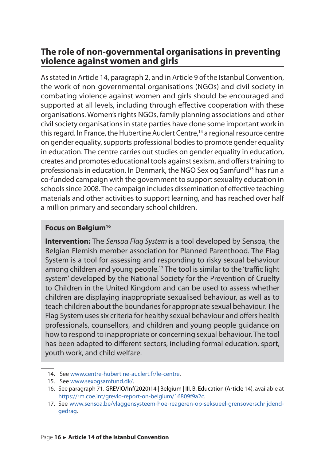## <span id="page-16-0"></span>**The role of non‑governmental organisations in preventing violence against women and girls**

As stated in Article 14, paragraph 2, and in Article 9 of the Istanbul Convention, the work of non-governmental organisations (NGOs) and civil society in combating violence against women and girls should be encouraged and supported at all levels, including through effective cooperation with these organisations. Women's rights NGOs, family planning associations and other civil society organisations in state parties have done some important work in this regard. In France, the Hubertine Auclert Centre,<sup>14</sup> a regional resource centre on gender equality, supports professional bodies to promote gender equality in education. The centre carries out studies on gender equality in education, creates and promotes educational tools against sexism, and offers training to professionals in education. In Denmark, the NGO Sex og Samfund<sup>15</sup> has run a co-funded campaign with the government to support sexuality education in schools since 2008. The campaign includes dissemination of effective teaching materials and other activities to support learning, and has reached over half a million primary and secondary school children.

#### **Focus on Belgium<sup>16</sup>**

**Intervention:** The *Sensoa Flag System* is a tool developed by Sensoa, the Belgian Flemish member association for Planned Parenthood. The Flag System is a tool for assessing and responding to risky sexual behaviour among children and young people.<sup>17</sup> The tool is similar to the 'traffic light system' developed by the National Society for the Prevention of Cruelty to Children in the United Kingdom and can be used to assess whether children are displaying inappropriate sexualised behaviour, as well as to teach children about the boundaries for appropriate sexual behaviour. The Flag System uses six criteria for healthy sexual behaviour and offers health professionals, counsellors, and children and young people guidance on how to respond to inappropriate or concerning sexual behaviour. The tool has been adapted to different sectors, including formal education, sport, youth work, and child welfare.

<sup>14.</sup> See [www.centre-hubertine-auclert.fr/le-centre.](https://www.centre-hubertine-auclert.fr/le-centre)

<sup>15.</sup> See [www.sexogsamfund.dk/.](http://www.sexogsamfund.dk/)

<sup>16.</sup> See paragraph 71. GREVIO/Inf(2020)14 | Belgium | III. B. Education (Article 14), available at [https://rm.coe.int/grevio-report-on-belgium/16809f9a2c.](https://rm.coe.int/grevio-report-on-belgium/16809f9a2c)

<sup>17.</sup> See [www.sensoa.be/vlaggensysteem-hoe-reageren-op-seksueel-grensoverschrijdend](http://www.sensoa.be/vlaggensysteem-hoe-reageren-op-seksueel-grensoverschrijdend-gedrag)[gedrag](http://www.sensoa.be/vlaggensysteem-hoe-reageren-op-seksueel-grensoverschrijdend-gedrag).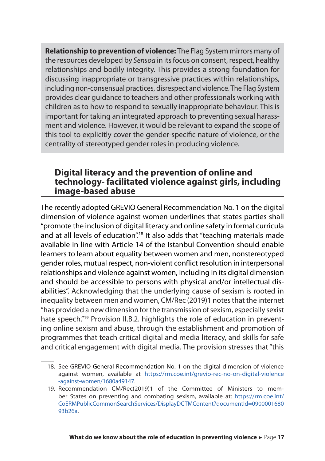<span id="page-17-0"></span>**Relationship to prevention of violence:** The Flag System mirrors many of the resources developed by *Sensoa* in its focus on consent, respect, healthy relationships and bodily integrity. This provides a strong foundation for discussing inappropriate or transgressive practices within relationships, including non-consensual practices, disrespect and violence. The Flag System provides clear guidance to teachers and other professionals working with children as to how to respond to sexually inappropriate behaviour. This is important for taking an integrated approach to preventing sexual harassment and violence. However, it would be relevant to expand the scope of this tool to explicitly cover the gender-specific nature of violence, or the centrality of stereotyped gender roles in producing violence.

### **Digital literacy and the prevention of online and technology‑ facilitated violence against girls, including image‑based abuse**

The recently adopted GREVIO General Recommendation No. 1 on the digital dimension of violence against women underlines that states parties shall "promote the inclusion of digital literacy and online safety in formal curricula and at all levels of education".<sup>18</sup> It also adds that "teaching materials made available in line with Article 14 of the Istanbul Convention should enable learners to learn about equality between women and men, nonstereotyped gender roles, mutual respect, non-violent conflict resolution in interpersonal relationships and violence against women, including in its digital dimension and should be accessible to persons with physical and/or intellectual disabilities". Acknowledging that the underlying cause of sexism is rooted in inequality between men and women, CM/Rec (2019)1 notes that the internet "has provided a new dimension for the transmission of sexism, especially sexist hate speech.<sup>"19</sup> Provision II.B.2. highlights the role of education in preventing online sexism and abuse, through the establishment and promotion of programmes that teach critical digital and media literacy, and skills for safe and critical engagement with digital media. The provision stresses that "this

<sup>18.</sup> See GREVIO General Recommendation No. 1 on the digital dimension of violence against women, available at [https://rm.coe.int/grevio-rec-no-on-digital-violence](https://rm.coe.int/grevio-rec-no-on-digital-violence-against-women/1680a49147)  [-against-women/1680a49147](https://rm.coe.int/grevio-rec-no-on-digital-violence-against-women/1680a49147).

<sup>19.</sup> Recommendation CM/Rec(2019)1 of the Committee of Ministers to member States on preventing and combating sexism, available at: [https://rm.coe.int/](https://rm.coe.int/CoERMPublicCommonSearchServices/DisplayDCTMContent?documentId=090000168093b26a) [CoERMPublicCommonSearchServices/DisplayDCTMContent?documentId=0900001680](https://rm.coe.int/CoERMPublicCommonSearchServices/DisplayDCTMContent?documentId=090000168093b26a) [93b26a](https://rm.coe.int/CoERMPublicCommonSearchServices/DisplayDCTMContent?documentId=090000168093b26a).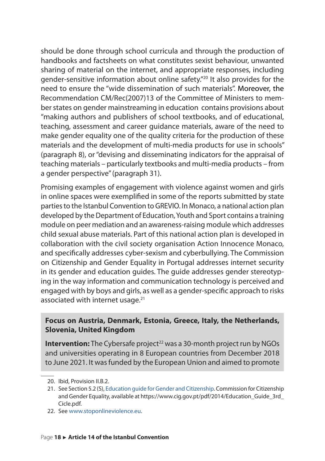should be done through school curricula and through the production of handbooks and factsheets on what constitutes sexist behaviour, unwanted sharing of material on the internet, and appropriate responses, including gender-sensitive information about online safety."<sup>20</sup> It also provides for the need to ensure the "wide dissemination of such materials". Moreover, the Recommendation CM/Rec(2007)13 of the Committee of Ministers to member states on gender mainstreaming in education contains provisions about "making authors and publishers of school textbooks, and of educational, teaching, assessment and career guidance materials, aware of the need to make gender equality one of the quality criteria for the production of these materials and the development of multi-media products for use in schools" (paragraph 8), or "devising and disseminating indicators for the appraisal of teaching materials – particularly textbooks and multi-media products – from a gender perspective" (paragraph 31).

Promising examples of engagement with violence against women and girls in online spaces were exemplified in some of the reports submitted by state parties to the Istanbul Convention to GREVIO. In Monaco, a national action plan developed by the Department of Education, Youth and Sport contains a training module on peer mediation and an awareness-raising module which addresses child sexual abuse materials. Part of this national action plan is developed in collaboration with the civil society organisation Action Innocence Monaco, and specifically addresses cyber-sexism and cyberbullying. The Commission on Citizenship and Gender Equality in Portugal addresses internet security in its gender and education guides. The guide addresses gender stereotyping in the way information and communication technology is perceived and engaged with by boys and girls, as well as a gender-specific approach to risks associated with internet usage.<sup>21</sup>

#### **Focus on Austria, Denmark, Estonia, Greece, Italy, the Netherlands, Slovenia, United Kingdom**

**Intervention:** The Cybersafe project<sup>22</sup> was a 30-month project run by NGOs and universities operating in 8 European countries from December 2018 to June 2021. It was funded by the European Union and aimed to promote

22. See [www.stoponlineviolence.eu.](http://www.stoponlineviolence.eu/)

<sup>20.</sup> Ibid, Provision II.B.2.

<sup>21.</sup> See Section 5.2 (S), [Education guide for Gender and Citizenship](https://www.cig.gov.pt/pdf/2014/Education_Guide_3rd_Cicle.pdf). Commission for Citizenship and Gender Equality, available at https://www.cig.gov.pt/pdf/2014/Education\_Guide\_3rd\_ Cicle.pdf.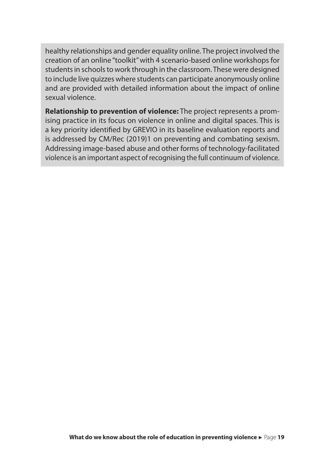healthy relationships and gender equality online. The project involved the creation of an online "toolkit" with 4 scenario-based online workshops for students in schools to work through in the classroom. These were designed to include live quizzes where students can participate anonymously online and are provided with detailed information about the impact of online sexual violence.

**Relationship to prevention of violence:** The project represents a promising practice in its focus on violence in online and digital spaces. This is a key priority identified by GREVIO in its baseline evaluation reports and is addressed by CM/Rec (2019)1 on preventing and combating sexism. Addressing image-based abuse and other forms of technology-facilitated violence is an important aspect of recognising the full continuum of violence.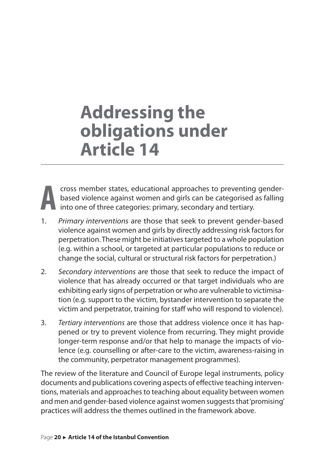## <span id="page-20-0"></span>**Addressing the obligations under Article 14**



cross member states, educational approaches to preventing genderbased violence against women and girls can be categorised as falling into one of three categories: primary, secondary and tertiary.

- 1. *Primary interventions* are those that seek to prevent gender-based violence against women and girls by directly addressing risk factors for perpetration. These might be initiatives targeted to a whole population (e.g. within a school, or targeted at particular populations to reduce or change the social, cultural or structural risk factors for perpetration.)
- 2. *Secondary interventions* are those that seek to reduce the impact of violence that has already occurred or that target individuals who are exhibiting early signs of perpetration or who are vulnerable to victimisation (e.g. support to the victim, bystander intervention to separate the victim and perpetrator, training for staff who will respond to violence).
- 3. *Tertiary interventions* are those that address violence once it has happened or try to prevent violence from recurring. They might provide longer-term response and/or that help to manage the impacts of violence (e.g. counselling or after-care to the victim, awareness-raising in the community, perpetrator management programmes).

The review of the literature and Council of Europe legal instruments, policy documents and publications covering aspects of effective teaching interventions, materials and approaches to teaching about equality between women and men and gender-based violence against women suggests that 'promising' practices will address the themes outlined in the framework above.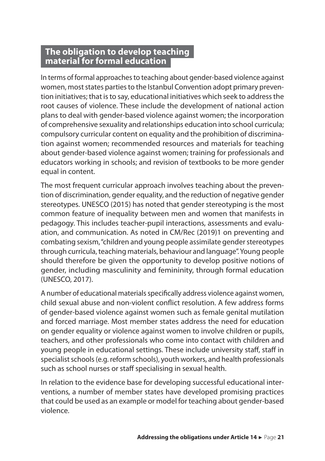## <span id="page-21-0"></span>**The obligation to develop teaching material for formal education**

In terms of formal approaches to teaching about gender-based violence against women, most states parties to the Istanbul Convention adopt primary prevention initiatives; that is to say, educational initiatives which seek to address the root causes of violence. These include the development of national action plans to deal with gender-based violence against women; the incorporation of comprehensive sexuality and relationships education into school curricula; compulsory curricular content on equality and the prohibition of discrimination against women; recommended resources and materials for teaching about gender-based violence against women; training for professionals and educators working in schools; and revision of textbooks to be more gender equal in content.

The most frequent curricular approach involves teaching about the prevention of discrimination, gender equality, and the reduction of negative gender stereotypes. UNESCO (2015) has noted that gender stereotyping is the most common feature of inequality between men and women that manifests in pedagogy. This includes teacher-pupil interactions, assessments and evaluation, and communication. As noted in CM/Rec (2019)1 on preventing and combating sexism, "children and young people assimilate gender stereotypes through curricula, teaching materials, behaviour and language". Young people should therefore be given the opportunity to develop positive notions of gender, including masculinity and femininity, through formal education (UNESCO, 2017).

A number of educational materials specifically address violence against women, child sexual abuse and non-violent conflict resolution. A few address forms of gender-based violence against women such as female genital mutilation and forced marriage. Most member states address the need for education on gender equality or violence against women to involve children or pupils, teachers, and other professionals who come into contact with children and young people in educational settings. These include university staff, staff in specialist schools (e.g. reform schools), youth workers, and health professionals such as school nurses or staff specialising in sexual health.

In relation to the evidence base for developing successful educational interventions, a number of member states have developed promising practices that could be used as an example or model for teaching about gender-based violence.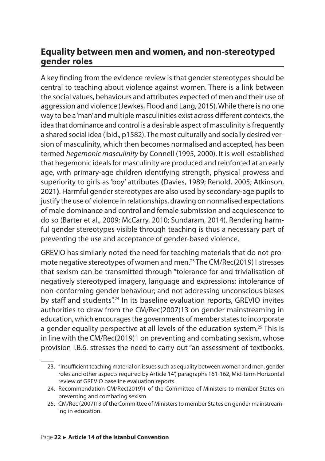## <span id="page-22-0"></span>**Equality between men and women, and non‑stereotyped gender roles**

A key finding from the evidence review is that gender stereotypes should be central to teaching about violence against women. There is a link between the social values, behaviours and attributes expected of men and their use of aggression and violence (Jewkes, Flood and Lang, 2015). While there is no one way to be a 'man' and multiple masculinities exist across different contexts, the idea that dominance and control is a desirable aspect of masculinity is frequently a shared social idea (ibid., p1582). The most culturally and socially desired version of masculinity, which then becomes normalised and accepted, has been termed *hegemonic masculinity* by Connell (1995, 2000). It is well-established that hegemonic ideals for masculinity are produced and reinforced at an early age, with primary-age children identifying strength, physical prowess and superiority to girls as 'boy' attributes **(**Davies, 1989; Renold, 2005; Atkinson, 2021**)**. Harmful gender stereotypes are also used by secondary-age pupils to justify the use of violence in relationships, drawing on normalised expectations of male dominance and control and female submission and acquiescence to do so (Barter et al., 2009; McCarry, 2010; Sundaram, 2014). Rendering harmful gender stereotypes visible through teaching is thus a necessary part of preventing the use and acceptance of gender-based violence.

GREVIO has similarly noted the need for teaching materials that do not promote negative stereotypes of women and men.<sup>23</sup> The CM/Rec(2019)1 stresses that sexism can be transmitted through "tolerance for and trivialisation of negatively stereotyped imagery, language and expressions; intolerance of non-conforming gender behaviour; and not addressing unconscious biases by staff and students".<sup>24</sup> In its baseline evaluation reports, GREVIO invites authorities to draw from the CM/Rec(2007)13 on gender mainstreaming in education, which encourages the governments of member states to incorporate a gender equality perspective at all levels of the education system.<sup>25</sup> This is in line with the CM/Rec(2019)1 on preventing and combating sexism, whose provision I.B.6. stresses the need to carry out "an assessment of textbooks,

<sup>23.</sup> "Insufficient teaching material on issues such as equality between women and men, gender roles and other aspects required by Article 14", paragraphs 161-162, Mid-term Horizontal review of GREVIO baseline evaluation reports.

<sup>24.</sup> Recommendation CM/Rec(2019)1 of the Committee of Ministers to member States on preventing and combating sexism.

<sup>25.</sup> CM/Rec (2007)13 of the Committee of Ministers to member States on gender mainstreaming in education.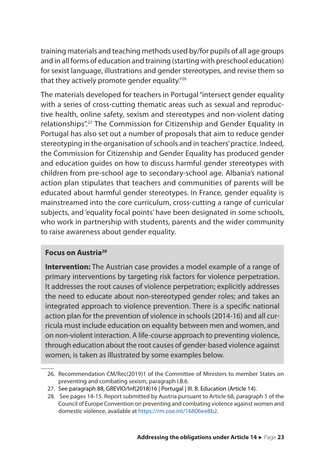training materials and teaching methods used by/for pupils of all age groups and in all forms of education and training (starting with preschool education) for sexist language, illustrations and gender stereotypes, and revise them so that they actively promote gender equality."<sup>26</sup>

The materials developed for teachers in Portugal "intersect gender equality with a series of cross-cutting thematic areas such as sexual and reproductive health, online safety, sexism and stereotypes and non-violent dating relationships".<sup>27</sup> The Commission for Citizenship and Gender Equality in Portugal has also set out a number of proposals that aim to reduce gender stereotyping in the organisation of schools and in teachers' practice. Indeed, the Commission for Citizenship and Gender Equality has produced gender and education guides on how to discuss harmful gender stereotypes with children from pre-school age to secondary-school age. Albania's national action plan stipulates that teachers and communities of parents will be educated about harmful gender stereotypes. In France, gender equality is mainstreamed into the core curriculum, cross-cutting a range of curricular subjects, and 'equality focal points' have been designated in some schools, who work in partnership with students, parents and the wider community to raise awareness about gender equality.

#### **Focus on Austria<sup>28</sup>**

**Intervention:** The Austrian case provides a model example of a range of primary interventions by targeting risk factors for violence perpetration. It addresses the root causes of violence perpetration; explicitly addresses the need to educate about non-stereotyped gender roles; and takes an integrated approach to violence prevention. There is a specific national action plan for the prevention of violence in schools (2014-16) and all curricula must include education on equality between men and women, and on non-violent interaction. A life-course approach to preventing violence, through education about the root causes of gender-based violence against women, is taken as illustrated by some examples below.

<sup>26.</sup> Recommendation CM/Rec(2019)1 of the Committee of Ministers to member States on preventing and combating sexism, paragraph I.B.6.

<sup>27.</sup> See paragraph 88, GREVIO/Inf(2018)16 | Portugal | III. B. Education (Article 14).

<sup>28.</sup> See pages 14-15. Report submitted by Austria pursuant to Article 68, paragraph 1 of the Council of Europe Convention on preventing and combating violence against women and domestic violence, available at [https://rm.coe.int/16806ee8b2.](https://rm.coe.int/16806ee8b2)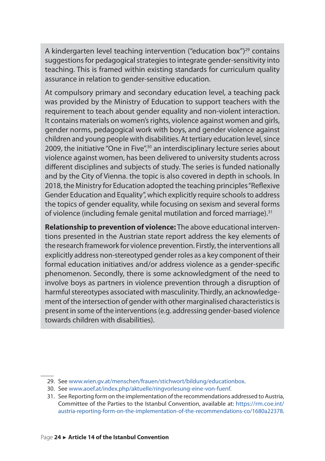A kindergarten level teaching intervention ("education box")<sup>29</sup> contains suggestions for pedagogical strategies to integrate gender-sensitivity into teaching. This is framed within existing standards for curriculum quality assurance in relation to gender-sensitive education.

At compulsory primary and secondary education level, a teaching pack was provided by the Ministry of Education to support teachers with the requirement to teach about gender equality and non-violent interaction. It contains materials on women's rights, violence against women and girls, gender norms, pedagogical work with boys, and gender violence against children and young people with disabilities. At tertiary education level, since 2009, the initiative "One in Five",<sup>30</sup> an interdisciplinary lecture series about violence against women, has been delivered to university students across different disciplines and subjects of study. The series is funded nationally and by the City of Vienna. the topic is also covered in depth in schools. In 2018, the Ministry for Education adopted the teaching principles "Reflexive Gender Education and Equality", which explicitly require schools to address the topics of gender equality, while focusing on sexism and several forms of violence (including female genital mutilation and forced marriage).<sup>31</sup>

**Relationship to prevention of violence:** The above educational interventions presented in the Austrian state report address the key elements of the research framework for violence prevention. Firstly, the interventions all explicitly address non-stereotyped gender roles as a key component of their formal education initiatives and/or address violence as a gender-specific phenomenon. Secondly, there is some acknowledgment of the need to involve boys as partners in violence prevention through a disruption of harmful stereotypes associated with masculinity. Thirdly, an acknowledgement of the intersection of gender with other marginalised characteristics is present in some of the interventions (e.g. addressing gender-based violence towards children with disabilities).

<sup>29.</sup> See [www.wien.gv.at/menschen/frauen/stichwort/bildung/educationbox.](http://www.wien.gv.at/menschen/frauen/stichwort/bildung/educationbox/)

<sup>30.</sup> See [www.aoef.at/index.php/aktuelle/ringvorlesung-eine-von-fuenf](http://www.aoef.at/index.php/aktuelle/ringvorlesung-eine-von-fuenf).

<sup>31.</sup> See Reporting form on the implementation of the recommendations addressed to Austria, Committee of the Parties to the Istanbul Convention, available at: [https://rm.coe.int/](https://rm.coe.int/austria-reporting-form-on-the-implementation-of-the-recommendations-co/1680a22378) [austria-reporting-form-on-the-implementation-of-the-recommendations-co/1680a22378](https://rm.coe.int/austria-reporting-form-on-the-implementation-of-the-recommendations-co/1680a22378).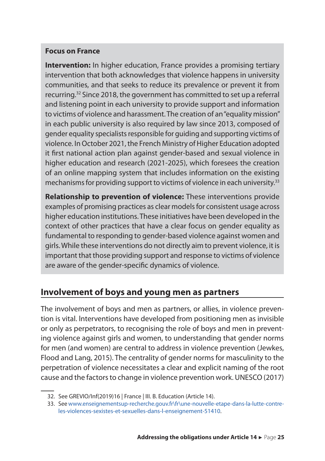#### <span id="page-25-0"></span>**Focus on France**

**Intervention:** In higher education, France provides a promising tertiary intervention that both acknowledges that violence happens in university communities, and that seeks to reduce its prevalence or prevent it from recurring.<sup>32</sup> Since 2018, the government has committed to set up a referral and listening point in each university to provide support and information to victims of violence and harassment. The creation of an "equality mission" in each public university is also required by law since 2013, composed of gender equality specialists responsible for guiding and supporting victims of violence. In October 2021, the French Ministry of Higher Education adopted it first national action plan against gender-based and sexual violence in higher education and research (2021-2025), which foresees the creation of an online mapping system that includes information on the existing mechanisms for providing support to victims of violence in each university.<sup>33</sup>

**Relationship to prevention of violence:** These interventions provide examples of promising practices as clear models for consistent usage across higher education institutions. These initiatives have been developed in the context of other practices that have a clear focus on gender equality as fundamental to responding to gender-based violence against women and girls. While these interventions do not directly aim to prevent violence, it is important that those providing support and response to victims of violence are aware of the gender-specific dynamics of violence.

## **Involvement of boys and young men as partners**

The involvement of boys and men as partners, or allies, in violence prevention is vital. lnterventions have developed from positioning men as invisible or only as perpetrators, to recognising the role of boys and men in preventing violence against girls and women, to understanding that gender norms for men (and women) are central to address in violence prevention (Jewkes, Flood and Lang, 2015). The centrality of gender norms for masculinity to the perpetration of violence necessitates a clear and explicit naming of the root cause and the factors to change in violence prevention work. UNESCO (2017)

<sup>32.</sup> See GREVIO/Inf(2019)16 | France | III. B. Education (Article 14).

<sup>33.</sup> See [www.enseignementsup-recherche.gouv.fr\fr\une-nouvelle-etape-dans-la-lutte-contre](http://www.enseignementsup-recherche.gouv.frrune-nouvelle-etape-dans-la-lutte-contre-les-violences-sexistes-et-sexuelles-dans-l-enseignement-51410)[les-violences-sexistes-et-sexuelles-dans-l-enseignement-51410.](http://www.enseignementsup-recherche.gouv.frrune-nouvelle-etape-dans-la-lutte-contre-les-violences-sexistes-et-sexuelles-dans-l-enseignement-51410)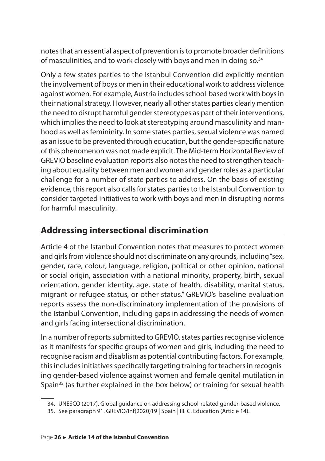<span id="page-26-0"></span>notes that an essential aspect of prevention is to promote broader definitions of masculinities, and to work closely with boys and men in doing so.<sup>34</sup>

Only a few states parties to the Istanbul Convention did explicitly mention the involvement of boys or men in their educational work to address violence against women. For example, Austria includes school-based work with boys in their national strategy. However, nearly all other states parties clearly mention the need to disrupt harmful gender stereotypes as part of their interventions, which implies the need to look at stereotyping around masculinity and manhood as well as femininity. In some states parties, sexual violence was named as an issue to be prevented through education, but the gender-specific nature of this phenomenon was not made explicit. The Mid-term Horizontal Review of GREVIO baseline evaluation reports also notes the need to strengthen teaching about equality between men and women and gender roles as a particular challenge for a number of state parties to address. On the basis of existing evidence, this report also calls for states parties to the Istanbul Convention to consider targeted initiatives to work with boys and men in disrupting norms for harmful masculinity.

## **Addressing intersectional discrimination**

Article 4 of the Istanbul Convention notes that measures to protect women and girls from violence should not discriminate on any grounds, including "sex, gender, race, colour, language, religion, political or other opinion, national or social origin, association with a national minority, property, birth, sexual orientation, gender identity, age, state of health, disability, marital status, migrant or refugee status, or other status." GREVIO's baseline evaluation reports assess the non-discriminatory implementation of the provisions of the Istanbul Convention, including gaps in addressing the needs of women and girls facing intersectional discrimination.

In a number of reports submitted to GREVIO, states parties recognise violence as it manifests for specific groups of women and girls, including the need to recognise racism and disablism as potential contributing factors. For example, this includes initiatives specifically targeting training for teachers in recognising gender-based violence against women and female genital mutilation in Spain<sup>35</sup> (as further explained in the box below) or training for sexual health

<sup>34.</sup> UNESCO (2017). Global guidance on addressing school-related gender-based violence.

<sup>35.</sup> See paragraph 91. GREVIO/Inf(2020)19 | Spain | III. C. Education (Article 14).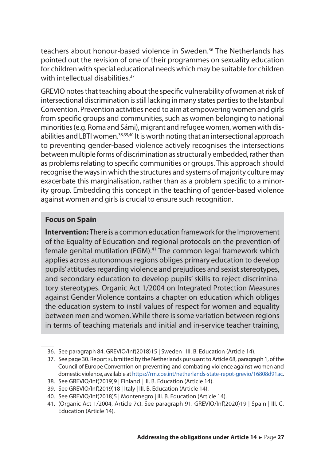teachers about honour-based violence in Sweden.<sup>36</sup> The Netherlands has pointed out the revision of one of their programmes on sexuality education for children with special educational needs which may be suitable for children with intellectual disabilities  $37$ 

GREVIO notes that teaching about the specific vulnerability of women at risk of intersectional discrimination is still lacking in many states parties to the Istanbul Convention. Prevention activities need to aim at empowering women and girls from specific groups and communities, such as women belonging to national minorities (e.g. Roma and Sámi), migrant and refugee women, women with disabilities and LBTI women.<sup>38,39,40</sup> It is worth noting that an intersectional approach to preventing gender-based violence actively recognises the intersections between multiple forms of discrimination as structurally embedded, rather than as problems relating to specific communities or groups. This approach should recognise the ways in which the structures and systems of majority culture may exacerbate this marginalisation, rather than as a problem specific to a minority group. Embedding this concept in the teaching of gender-based violence against women and girls is crucial to ensure such recognition.

#### **Focus on Spain**

**Intervention:** There is a common education framework for the Improvement of the Equality of Education and regional protocols on the prevention of female genital mutilation (FGM).41 The common legal framework which applies across autonomous regions obliges primary education to develop pupils' attitudes regarding violence and prejudices and sexist stereotypes, and secondary education to develop pupils' skills to reject discriminatory stereotypes. Organic Act 1/2004 on Integrated Protection Measures against Gender Violence contains a chapter on education which obliges the education system to instil values of respect for women and equality between men and women. While there is some variation between regions in terms of teaching materials and initial and in-service teacher training,

- 38. See GREVIO/Inf(2019)9 | Finland | III. B. Education (Article 14).
- 39. See GREVIO/Inf(2019)18 | Italy | III. B. Education (Article 14).
- 40. See GREVIO/Inf(2018)5 | Montenegro | III. B. Education (Article 14).
- 41. (Organic Act 1/2004, Article 7c). See paragraph 91. GREVIO/Inf(2020)19 | Spain | III. C. Education (Article 14).

<sup>36.</sup> See paragraph 84. GREVIO/Inf(2018)15 | Sweden | III. B. Education (Article 14).

<sup>37.</sup> See page 30. Report submitted by the Netherlands pursuant to Article 68, paragraph 1, of the Council of Europe Convention on preventing and combating violence against women and domestic violence, available at<https://rm.coe.int/netherlands-state-repot-grevio/16808d91ac>.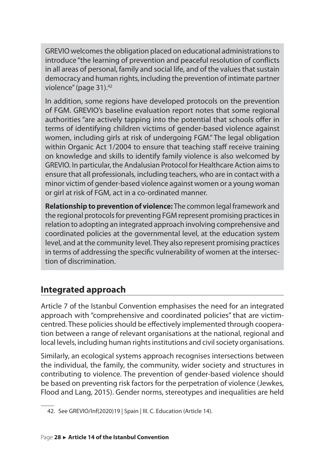<span id="page-28-0"></span>GREVIO welcomes the obligation placed on educational administrations to introduce "the learning of prevention and peaceful resolution of conflicts in all areas of personal, family and social life, and of the values that sustain democracy and human rights, including the prevention of intimate partner violence" (page 31).<sup>42</sup>

In addition, some regions have developed protocols on the prevention of FGM. GREVIO's baseline evaluation report notes that some regional authorities "are actively tapping into the potential that schools offer in terms of identifying children victims of gender-based violence against women, including girls at risk of undergoing FGM." The legal obligation within Organic Act 1/2004 to ensure that teaching staff receive training on knowledge and skills to identify family violence is also welcomed by GREVIO. In particular, the Andalusian Protocol for Healthcare Action aims to ensure that all professionals, including teachers, who are in contact with a minor victim of gender-based violence against women or a young woman or girl at risk of FGM, act in a co-ordinated manner.

**Relationship to prevention of violence:** The common legal framework and the regional protocols for preventing FGM represent promising practices in relation to adopting an integrated approach involving comprehensive and coordinated policies at the governmental level, at the education system level, and at the community level. They also represent promising practices in terms of addressing the specific vulnerability of women at the intersection of discrimination.

## **Integrated approach**

Article 7 of the Istanbul Convention emphasises the need for an integrated approach with "comprehensive and coordinated policies" that are victimcentred. These policies should be effectively implemented through cooperation between a range of relevant organisations at the national, regional and local levels, including human rights institutions and civil society organisations.

Similarly, an ecological systems approach recognises intersections between the individual, the family, the community, wider society and structures in contributing to violence. The prevention of gender-based violence should be based on preventing risk factors for the perpetration of violence (Jewkes, Flood and Lang, 2015). Gender norms, stereotypes and inequalities are held

<sup>42.</sup> See GREVIO/Inf(2020)19 | Spain | III. C. Education (Article 14).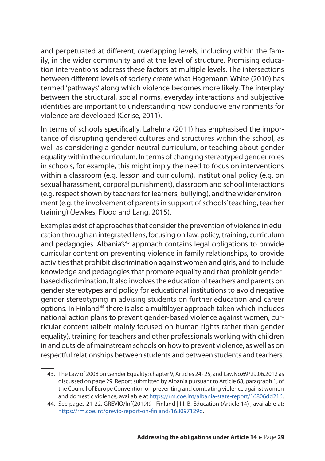and perpetuated at different, overlapping levels, including within the family, in the wider community and at the level of structure. Promising education interventions address these factors at multiple levels. The intersections between different levels of society create what Hagemann-White (2010) has termed 'pathways' along which violence becomes more likely. The interplay between the structural, social norms, everyday interactions and subjective identities are important to understanding how conducive environments for violence are developed (Cerise, 2011).

In terms of schools specifically, Lahelma (2011) has emphasised the importance of disrupting gendered cultures and structures within the school, as well as considering a gender-neutral curriculum, or teaching about gender equality within the curriculum. In terms of changing stereotyped gender roles in schools, for example, this might imply the need to focus on interventions within a classroom (e.g. lesson and curriculum), institutional policy (e.g. on sexual harassment, corporal punishment), classroom and school interactions (e.g. respect shown by teachers for learners, bullying), and the wider environment (e.g. the involvement of parents in support of schools' teaching, teacher training) (Jewkes, Flood and Lang, 2015).

Examples exist of approaches that consider the prevention of violence in education through an integrated lens, focusing on law, policy, training, curriculum and pedagogies. Albania's<sup>43</sup> approach contains legal obligations to provide curricular content on preventing violence in family relationships, to provide activities that prohibit discrimination against women and girls, and to include knowledge and pedagogies that promote equality and that prohibit genderbased discrimination. It also involves the education of teachers and parents on gender stereotypes and policy for educational institutions to avoid negative gender stereotyping in advising students on further education and career options. In Finland<sup>44</sup> there is also a multilayer approach taken which includes national action plans to prevent gender-based violence against women, curricular content (albeit mainly focused on human rights rather than gender equality), training for teachers and other professionals working with children in and outside of mainstream schools on how to prevent violence, as well as on respectful relationships between students and between students and teachers.

<sup>43.</sup> The Law of 2008 on Gender Equality: chapter V, Articles 24- 25, and LawNo.69/29.06.2012 as discussed on page 29. Report submitted by Albania pursuant to Article 68, paragraph 1, of the Council of Europe Convention on preventing and combating violence against women and domestic violence, available at<https://rm.coe.int/albania-state-report/16806dd216>.

<sup>44.</sup> See pages 21-22. GREVIO/Inf(2019)9 | Finland | III. B. Education (Article 14) , available at: [https://rm.coe.int/grevio-report-on-finland/168097129d.](https://rm.coe.int/grevio-report-on-finland/168097129d)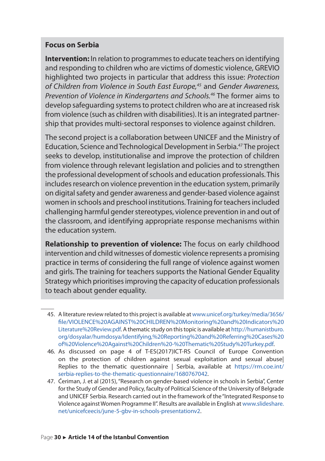#### **Focus on Serbia**

**Intervention:** In relation to programmes to educate teachers on identifying and responding to children who are victims of domestic violence, GREVIO highlighted two projects in particular that address this issue: *Protection of Children from Violence in South East Europe,45* and *Gender Awareness, Prevention of Violence in Kindergartens and Schools.46* The former aims to develop safeguarding systems to protect children who are at increased risk from violence (such as children with disabilities). It is an integrated partnership that provides multi-sectoral responses to violence against children.

The second project is a collaboration between UNICEF and the Ministry of Education, Science and Technological Development in Serbia.<sup>47</sup> The project seeks to develop, institutionalise and improve the protection of children from violence through relevant legislation and policies and to strengthen the professional development of schools and education professionals. This includes research on violence prevention in the education system, primarily on digital safety and gender awareness and gender-based violence against women in schools and preschool institutions. Training for teachers included challenging harmful gender stereotypes, violence prevention in and out of the classroom, and identifying appropriate response mechanisms within the education system.

**Relationship to prevention of violence:** The focus on early childhood intervention and child witnesses of domestic violence represents a promising practice in terms of considering the full range of violence against women and girls. The training for teachers supports the National Gender Equality Strategy which prioritises improving the capacity of education professionals to teach about gender equality.

- 45. A literature review related to this project is available at [www.unicef.org/turkey/media/3656/](http://www.unicef.org/turkey/media/3656/file/VIOLENCE%20AGAINST%20CHILDREN%20Monitoring%20and%20Indicators%20Literature%20Review.pdf) [file/VIOLENCE%20AGAINST%20CHILDREN%20Monitoring%20and%20Indicators%20](http://www.unicef.org/turkey/media/3656/file/VIOLENCE%20AGAINST%20CHILDREN%20Monitoring%20and%20Indicators%20Literature%20Review.pdf) [Literature%20Review.pdf](http://www.unicef.org/turkey/media/3656/file/VIOLENCE%20AGAINST%20CHILDREN%20Monitoring%20and%20Indicators%20Literature%20Review.pdf). A thematic study on this topic is available at [http://humanistburo.](http://humanistburo.org/dosyalar/humdosya/Identifying,%20Reporting%20and%20Referring%20Cases%20of%20Violence%20Against%20Children%20-%20Thematic%20Study%20Turkey.pdf) [org/dosyalar/humdosya/Identifying,%20Reporting%20and%20Referring%20Cases%20](http://humanistburo.org/dosyalar/humdosya/Identifying,%20Reporting%20and%20Referring%20Cases%20of%20Violence%20Against%20Children%20-%20Thematic%20Study%20Turkey.pdf) [of%20Violence%20Against%20Children%20-%20Thematic%20Study%20Turkey.pdf](http://humanistburo.org/dosyalar/humdosya/Identifying,%20Reporting%20and%20Referring%20Cases%20of%20Violence%20Against%20Children%20-%20Thematic%20Study%20Turkey.pdf).
- 46. As discussed on page 4 of T-ES(2017)ICT-RS Council of Europe Convention on the protection of children against sexual exploitation and sexual abuse| Replies to the thematic questionnaire | Serbia, available at [https://rm.coe.int/](https://rm.coe.int/serbia-replies-to-the-thematic-questionnaire/1680767042) [serbia-replies-to-the-thematic-questionnaire/1680767042](https://rm.coe.int/serbia-replies-to-the-thematic-questionnaire/1680767042).
- 47. Ćeriman, J. et al (2015), "Research on gender-based violence in schools in Serbia", Center for the Study of Gender and Policy, faculty of Political Science of the University of Belgrade and UNICEF Serbia. Research carried out in the framework of the "Integrated Response to Violence against Women Programme II". Results are available in English at [www.slideshare.](http://www.slideshare.net/unicefceecis/june-5-gbv-in-schools-presentationv2) [net/unicefceecis/june-5-gbv-in-schools-presentationv2.](http://www.slideshare.net/unicefceecis/june-5-gbv-in-schools-presentationv2)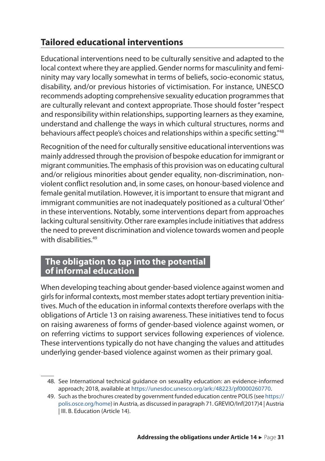## <span id="page-31-0"></span>**Tailored educational interventions**

Educational interventions need to be culturally sensitive and adapted to the local context where they are applied. Gender norms for masculinity and femininity may vary locally somewhat in terms of beliefs, socio-economic status, disability, and/or previous histories of victimisation. For instance, UNESCO recommends adopting comprehensive sexuality education programmes that are culturally relevant and context appropriate. Those should foster "respect and responsibility within relationships, supporting learners as they examine, understand and challenge the ways in which cultural structures, norms and behaviours affect people's choices and relationships within a specific setting."<sup>48</sup>

Recognition of the need for culturally sensitive educational interventions was mainly addressed through the provision of bespoke education for immigrant or migrant communities. The emphasis of this provision was on educating cultural and/or religious minorities about gender equality, non-discrimination, nonviolent conflict resolution and, in some cases, on honour-based violence and female genital mutilation. However, it is important to ensure that migrant and immigrant communities are not inadequately positioned as a cultural 'Other' in these interventions. Notably, some interventions depart from approaches lacking cultural sensitivity. Other rare examples include initiatives that address the need to prevent discrimination and violence towards women and people with disabilities<sup>49</sup>

### **The obligation to tap into the potential of informal education**

When developing teaching about gender-based violence against women and girls for informal contexts, most member states adopt tertiary prevention initiatives. Much of the education in informal contexts therefore overlaps with the obligations of Article 13 on raising awareness. These initiatives tend to focus on raising awareness of forms of gender-based violence against women, or on referring victims to support services following experiences of violence. These interventions typically do not have changing the values and attitudes underlying gender-based violence against women as their primary goal.

<sup>48.</sup> See International technical guidance on sexuality education: an evidence-informed approach; 2018, available at [https://unesdoc.unesco.org/ark:/48223/pf0000260770.](https://unesdoc.unesco.org/ark:/48223/pf0000260770)

<sup>49.</sup> Such as the brochures created by government funded education centre POLIS (see [https://](https://polis.osce.org/home) [polis.osce.org/home\)](https://polis.osce.org/home) in Austria, as discussed in paragraph 71. GREVIO/Inf(2017)4 | Austria | III. B. Education (Article 14).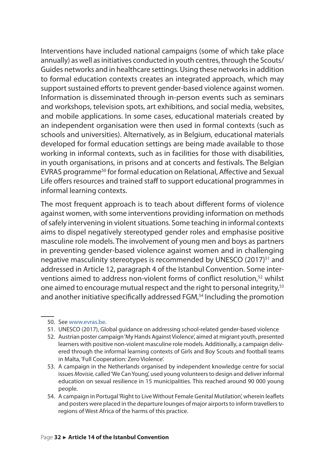Interventions have included national campaigns (some of which take place annually) as well as initiatives conducted in youth centres, through the Scouts/ Guides networks and in healthcare settings. Using these networks in addition to formal education contexts creates an integrated approach, which may support sustained efforts to prevent gender-based violence against women. Information is disseminated through in-person events such as seminars and workshops, television spots, art exhibitions, and social media, websites, and mobile applications. In some cases, educational materials created by an independent organisation were then used in formal contexts (such as schools and universities). Alternatively, as in Belgium, educational materials developed for formal education settings are being made available to those working in informal contexts, such as in facilities for those with disabilities, in youth organisations, in prisons and at concerts and festivals. The Belgian EVRAS programme<sup>50</sup> for formal education on Relational, Affective and Sexual Life offers resources and trained staff to support educational programmes in informal learning contexts.

The most frequent approach is to teach about different forms of violence against women, with some interventions providing information on methods of safely intervening in violent situations. Some teaching in informal contexts aims to dispel negatively stereotyped gender roles and emphasise positive masculine role models. The involvement of young men and boys as partners in preventing gender-based violence against women and in challenging negative masculinity stereotypes is recommended by UNESCO (2017)<sup>51</sup> and addressed in Article 12, paragraph 4 of the Istanbul Convention. Some interventions aimed to address non-violent forms of conflict resolution,<sup>52</sup> whilst one aimed to encourage mutual respect and the right to personal integrity,<sup>53</sup> and another initiative specifically addressed FGM,<sup>54</sup> Including the promotion

- 51. UNESCO (2017), Global guidance on addressing school-related gender-based violence
- 52. Austrian poster campaign 'My Hands Against Violence', aimed at migrant youth, presented learners with positive non-violent masculine role models. Additionally, a campaign delivered through the informal learning contexts of Girls and Boy Scouts and football teams in Malta, 'Full Cooperation: Zero Violence'.
- 53. A campaign in the Netherlands organised by independent knowledge centre for social issues *Movisie,* called 'We Can Young', used young volunteers to design and deliver informal education on sexual resilience in 15 municipalities. This reached around 90 000 young people.
- 54. A campaign in Portugal 'Right to Live Without Female Genital Mutilation', wherein leaflets and posters were placed in the departure lounges of major airports to inform travellers to regions of West Africa of the harms of this practice.

<sup>50.</sup> See [www.evras.be.](http://www.evras.be/)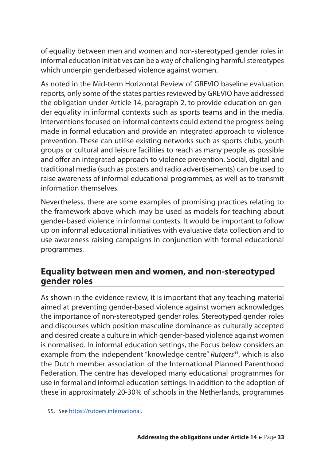<span id="page-33-0"></span>of equality between men and women and non-stereotyped gender roles in informal education initiatives can be a way of challenging harmful stereotypes which underpin genderbased violence against women.

As noted in the Mid-term Horizontal Review of GREVIO baseline evaluation reports, only some of the states parties reviewed by GREVIO have addressed the obligation under Article 14, paragraph 2, to provide education on gender equality in informal contexts such as sports teams and in the media. Interventions focused on informal contexts could extend the progress being made in formal education and provide an integrated approach to violence prevention. These can utilise existing networks such as sports clubs, youth groups or cultural and leisure facilities to reach as many people as possible and offer an integrated approach to violence prevention. Social, digital and traditional media (such as posters and radio advertisements) can be used to raise awareness of informal educational programmes, as well as to transmit information themselves.

Nevertheless, there are some examples of promising practices relating to the framework above which may be used as models for teaching about gender-based violence in informal contexts. It would be important to follow up on informal educational initiatives with evaluative data collection and to use awareness-raising campaigns in conjunction with formal educational programmes.

## **Equality between men and women, and non‑stereotyped gender roles**

As shown in the evidence review, it is important that any teaching material aimed at preventing gender-based violence against women acknowledges the importance of non-stereotyped gender roles. Stereotyped gender roles and discourses which position masculine dominance as culturally accepted and desired create a culture in which gender-based violence against women is normalised. In informal education settings, the Focus below considers an example from the independent "knowledge centre" *Rutgers<sup>55</sup>*, which is also the Dutch member association of the International Planned Parenthood Federation. The centre has developed many educational programmes for use in formal and informal education settings. In addition to the adoption of these in approximately 20-30% of schools in the Netherlands, programmes

<sup>55.</sup> See [https://rutgers.international.](https://rutgers.international/)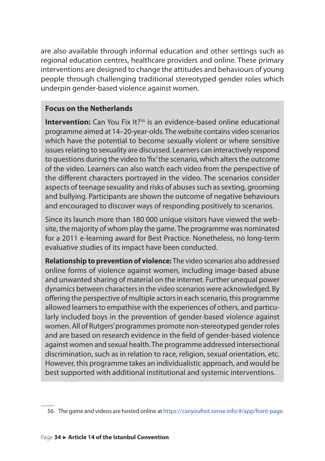are also available through informal education and other settings such as regional education centres, healthcare providers and online. These primary interventions are designed to change the attitudes and behaviours of young people through challenging traditional stereotyped gender roles which underpin gender-based violence against women.

#### **Focus on the Netherlands**

**Intervention:** Can You Fix It?<sup>56</sup> is an evidence-based online educational programme aimed at 14–20-year-olds. The website contains video scenarios which have the potential to become sexually violent or where sensitive issues relating to sexuality are discussed. Learners can interactively respond to questions during the video to 'fix' the scenario, which alters the outcome of the video. Learners can also watch each video from the perspective of the different characters portrayed in the video. The scenarios consider aspects of teenage sexuality and risks of abuses such as sexting, grooming and bullying. Participants are shown the outcome of negative behaviours and encouraged to discover ways of responding positively to scenarios.

Since its launch more than 180 000 unique visitors have viewed the website, the majority of whom play the game. The programme was nominated for a 2011 e-learning award for Best Practice. Nonetheless, no long-term evaluative studies of its impact have been conducted.

**Relationship to prevention of violence:** The video scenarios also addressed online forms of violence against women, including image-based abuse and unwanted sharing of material on the internet. Further unequal power dynamics between characters in the video scenarios were acknowledged. By offering the perspective of multiple actors in each scenario, this programme allowed learners to empathise with the experiences of others, and particularly included boys in the prevention of gender-based violence against women. All of Rutgers' programmes promote non-stereotyped gender roles and are based on research evidence in the field of gender-based violence against women and sexual health. The programme addressed intersectional discrimination, such as in relation to race, religion, sexual orientation, etc. However, this programme takes an individualistic approach, and would be best supported with additional institutional and systemic interventions.

<sup>56.</sup> The game and videos are hosted online at https://canyoufixit.sense.info/#/app/front-page.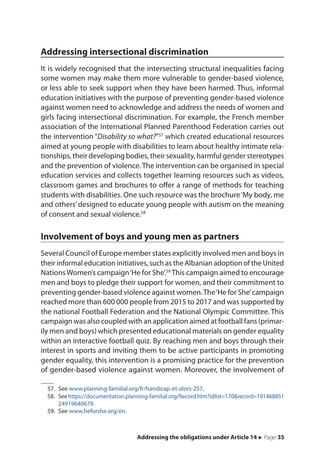## <span id="page-35-0"></span>**Addressing intersectional discrimination**

It is widely recognised that the intersecting structural inequalities facing some women may make them more vulnerable to gender-based violence, or less able to seek support when they have been harmed. Thus, informal education initiatives with the purpose of preventing gender-based violence against women need to acknowledge and address the needs of women and girls facing intersectional discrimination. For example, the French member association of the International Planned Parenthood Federation carries out the intervention "*Disability so what?*" <sup>57</sup> which created educational resources aimed at young people with disabilities to learn about healthy intimate relationships, their developing bodies, their sexuality, harmful gender stereotypes and the prevention of violence. The intervention can be organised in special education services and collects together learning resources such as videos, classroom games and brochures to offer a range of methods for teaching students with disabilities. One such resource was the brochure 'My body, me and others' designed to educate young people with autism on the meaning of consent and sexual violence.<sup>58</sup>

## **Involvement of boys and young men as partners**

Several Council of Europe member states explicitly involved men and boys in their informal education initiatives, such as the Albanian adoption of the United Nations Women's campaign 'He for She'.<sup>59</sup> This campaign aimed to encourage men and boys to pledge their support for women, and their commitment to preventing gender-based violence against women. The 'He for She' campaign reached more than 600 000 people from 2015 to 2017 and was supported by the national Football Federation and the National Olympic Committee. This campaign was also coupled with an application aimed at football fans (primarily men and boys) which presented educational materials on gender equality within an interactive football quiz. By reaching men and boys through their interest in sports and inviting them to be active participants in promoting gender equality, this intervention is a promising practice for the prevention of gender-based violence against women. Moreover, the involvement of

<sup>57.</sup> See [www.planning-familial.org/fr/handicap-et-alors-257.](http://www.planning-familial.org/fr/handicap-et-alors-257)

<sup>58.</sup> See [https://documentation.planning-familial.org/Record.htm?idlist=170&record=191468851](https://documentation.planning-familial.org/Record.htm?idlist=170&record=19146885124919640679) [24919640679.](https://documentation.planning-familial.org/Record.htm?idlist=170&record=19146885124919640679)

<sup>59.</sup> See [www.heforshe.org/en.](http://www.heforshe.org/en)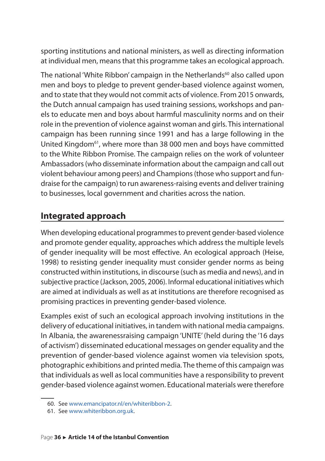<span id="page-36-0"></span>sporting institutions and national ministers, as well as directing information at individual men, means that this programme takes an ecological approach.

The national 'White Ribbon' campaign in the Netherlands<sup>60</sup> also called upon men and boys to pledge to prevent gender-based violence against women, and to state that they would not commit acts of violence. From 2015 onwards, the Dutch annual campaign has used training sessions, workshops and panels to educate men and boys about harmful masculinity norms and on their role in the prevention of violence against woman and girls. This international campaign has been running since 1991 and has a large following in the United Kingdom<sup>61</sup>, where more than 38 000 men and boys have committed to the White Ribbon Promise. The campaign relies on the work of volunteer Ambassadors (who disseminate information about the campaign and call out violent behaviour among peers) and Champions (those who support and fundraise for the campaign) to run awareness-raising events and deliver training to businesses, local government and charities across the nation.

## **Integrated approach**

When developing educational programmes to prevent gender-based violence and promote gender equality, approaches which address the multiple levels of gender inequality will be most effective. An ecological approach (Heise, 1998) to resisting gender inequality must consider gender norms as being constructed within institutions, in discourse (such as media and news), and in subjective practice (Jackson, 2005, 2006). Informal educational initiatives which are aimed at individuals as well as at institutions are therefore recognised as promising practices in preventing gender-based violence.

Examples exist of such an ecological approach involving institutions in the delivery of educational initiatives, in tandem with national media campaigns. In Albania, the awarenessraising campaign 'UNITE' (held during the '16 days of activism') disseminated educational messages on gender equality and the prevention of gender-based violence against women via television spots, photographic exhibitions and printed media. The theme of this campaign was that individuals as well as local communities have a responsibility to prevent gender-based violence against women. Educational materials were therefore

<sup>60.</sup> See [www.emancipator.nl/en/whiteribbon-2](http://www.emancipator.nl/en/whiteribbon-2/).

<sup>61.</sup> See [www.whiteribbon.org.uk](http://www.whiteribbon.org.uk/).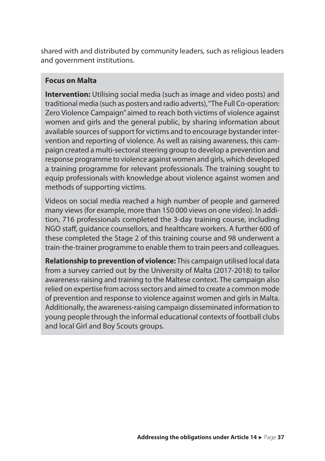shared with and distributed by community leaders, such as religious leaders and government institutions.

#### **Focus on Malta**

**Intervention:** Utilising social media (such as image and video posts) and traditional media (such as posters and radio adverts), "The Full Co-operation: Zero Violence Campaign" aimed to reach both victims of violence against women and girls and the general public, by sharing information about available sources of support for victims and to encourage bystander intervention and reporting of violence. As well as raising awareness, this campaign created a multi-sectoral steering group to develop a prevention and response programme to violence against women and girls, which developed a training programme for relevant professionals. The training sought to equip professionals with knowledge about violence against women and methods of supporting victims.

Videos on social media reached a high number of people and garnered many views (for example, more than 150 000 views on one video). In addition, 716 professionals completed the 3-day training course, including NGO staff, guidance counsellors, and healthcare workers. A further 600 of these completed the Stage 2 of this training course and 98 underwent a train-the-trainer programme to enable them to train peers and colleagues.

**Relationship to prevention of violence:** This campaign utilised local data from a survey carried out by the University of Malta (2017-2018) to tailor awareness-raising and training to the Maltese context. The campaign also relied on expertise from across sectors and aimed to create a common mode of prevention and response to violence against women and girls in Malta. Additionally, the awareness-raising campaign disseminated information to young people through the informal educational contexts of football clubs and local Girl and Boy Scouts groups.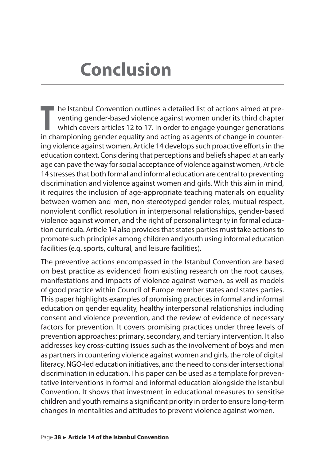# <span id="page-38-0"></span>**Conclusion**

**T** he Istanbul Convention outlines a detailed list of actions aimed at preventing gender-based violence against women under its third chapter which covers articles 12 to 17. In order to engage younger generations in championing gender equality and acting as agents of change in countering violence against women, Article 14 develops such proactive efforts in the education context. Considering that perceptions and beliefs shaped at an early age can pave the way for social acceptance of violence against women, Article 14 stresses that both formal and informal education are central to preventing discrimination and violence against women and girls. With this aim in mind, it requires the inclusion of age-appropriate teaching materials on equality between women and men, non-stereotyped gender roles, mutual respect, nonviolent conflict resolution in interpersonal relationships, gender-based violence against women, and the right of personal integrity in formal education curricula. Article 14 also provides that states parties must take actions to promote such principles among children and youth using informal education facilities (e.g. sports, cultural, and leisure facilities).

The preventive actions encompassed in the Istanbul Convention are based on best practice as evidenced from existing research on the root causes, manifestations and impacts of violence against women, as well as models of good practice within Council of Europe member states and states parties. This paper highlights examples of promising practices in formal and informal education on gender equality, healthy interpersonal relationships including consent and violence prevention, and the review of evidence of necessary factors for prevention. It covers promising practices under three levels of prevention approaches: primary, secondary, and tertiary intervention. It also addresses key cross-cutting issues such as the involvement of boys and men as partners in countering violence against women and girls, the role of digital literacy, NGO-led education initiatives, and the need to consider intersectional discrimination in education. This paper can be used as a template for preventative interventions in formal and informal education alongside the Istanbul Convention. It shows that investment in educational measures to sensitise children and youth remains a significant priority in order to ensure long-term changes in mentalities and attitudes to prevent violence against women.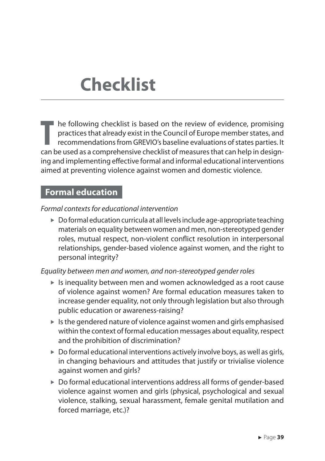# <span id="page-39-0"></span>**Checklist**

**T** he following checklist is based on the review of evidence, promising practices that already exist in the Council of Europe member states, and recommendations from GREVIO's baseline evaluations of states parties. It can be used as a comprehensive checklist of measures that can help in designing and implementing effective formal and informal educational interventions aimed at preventing violence against women and domestic violence.

### **Formal education**

#### *Formal contexts for educational intervention*

 $\triangleright$  Do formal education curricula at all levels include age-appropriate teaching materials on equality between women and men, non-stereotyped gender roles, mutual respect, non-violent conflict resolution in interpersonal relationships, gender-based violence against women, and the right to personal integrity?

#### *Equality between men and women, and non-stereotyped gender roles*

- $\blacktriangleright$  Is inequality between men and women acknowledged as a root cause of violence against women? Are formal education measures taken to increase gender equality, not only through legislation but also through public education or awareness-raising?
- $\blacktriangleright$  Is the gendered nature of violence against women and girls emphasised within the context of formal education messages about equality, respect and the prohibition of discrimination?
- $\triangleright$  Do formal educational interventions actively involve boys, as well as girls, in changing behaviours and attitudes that justify or trivialise violence against women and girls?
- $\triangleright$  Do formal educational interventions address all forms of gender-based violence against women and girls (physical, psychological and sexual violence, stalking, sexual harassment, female genital mutilation and forced marriage, etc.)?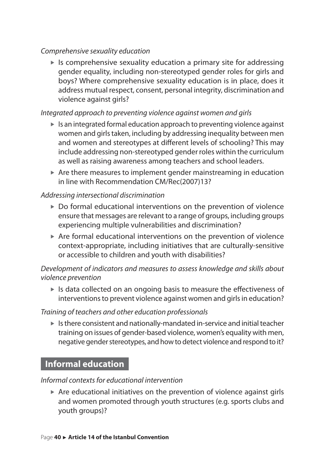#### <span id="page-40-0"></span>*Comprehensive sexuality education*

 $\blacktriangleright$  Is comprehensive sexuality education a primary site for addressing gender equality, including non-stereotyped gender roles for girls and boys? Where comprehensive sexuality education is in place, does it address mutual respect, consent, personal integrity, discrimination and violence against girls?

#### *Integrated approach to preventing violence against women and girls*

- $\blacktriangleright$  Is an integrated formal education approach to preventing violence against women and girls taken, including by addressing inequality between men and women and stereotypes at different levels of schooling? This may include addressing non-stereotyped gender roles within the curriculum as well as raising awareness among teachers and school leaders.
- $\blacktriangleright$  Are there measures to implement gender mainstreaming in education in line with Recommendation CM/Rec(2007)13?

#### *Addressing intersectional discrimination*

- $\triangleright$  Do formal educational interventions on the prevention of violence ensure that messages are relevant to a range of groups, including groups experiencing multiple vulnerabilities and discrimination?
- $\blacktriangleright$  Are formal educational interventions on the prevention of violence context-appropriate, including initiatives that are culturally-sensitive or accessible to children and youth with disabilities?

*Development of indicators and measures to assess knowledge and skills about violence prevention*

 $\blacktriangleright$  Is data collected on an ongoing basis to measure the effectiveness of interventions to prevent violence against women and girls in education?

#### *Training of teachers and other education professionals*

 $\blacktriangleright$  Is there consistent and nationally-mandated in-service and initial teacher training on issues of gender-based violence, women's equality with men, negative gender stereotypes, and how to detect violence and respond to it?

## **Informal education**

#### *Informal contexts for educational intervention*

 $\triangleright$  Are educational initiatives on the prevention of violence against girls and women promoted through youth structures (e.g. sports clubs and youth groups)?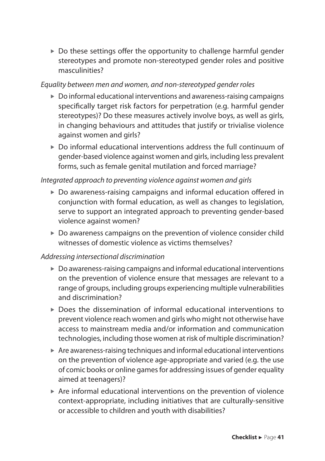$\triangleright$  Do these settings offer the opportunity to challenge harmful gender stereotypes and promote non-stereotyped gender roles and positive masculinities?

#### *Equality between men and women, and non-stereotyped gender roles*

- $\triangleright$  Do informal educational interventions and awareness-raising campaigns specifically target risk factors for perpetration (e.g. harmful gender stereotypes)? Do these measures actively involve boys, as well as girls, in changing behaviours and attitudes that justify or trivialise violence against women and girls?
- $\triangleright$  Do informal educational interventions address the full continuum of gender-based violence against women and girls, including less prevalent forms, such as female genital mutilation and forced marriage?

#### *Integrated approach to preventing violence against women and girls*

- $\triangleright$  Do awareness-raising campaigns and informal education offered in conjunction with formal education, as well as changes to legislation, serve to support an integrated approach to preventing gender-based violence against women?
- $\triangleright$  Do awareness campaigns on the prevention of violence consider child witnesses of domestic violence as victims themselves?

#### *Addressing intersectional discrimination*

- $\triangleright$  Do awareness-raising campaigns and informal educational interventions on the prevention of violence ensure that messages are relevant to a range of groups, including groups experiencing multiple vulnerabilities and discrimination?
- $\triangleright$  Does the dissemination of informal educational interventions to prevent violence reach women and girls who might not otherwise have access to mainstream media and/or information and communication technologies, including those women at risk of multiple discrimination?
- $\blacktriangleright$  Are awareness-raising techniques and informal educational interventions on the prevention of violence age-appropriate and varied (e.g. the use of comic books or online games for addressing issues of gender equality aimed at teenagers)?
- $\blacktriangleright$  Are informal educational interventions on the prevention of violence context-appropriate, including initiatives that are culturally-sensitive or accessible to children and youth with disabilities?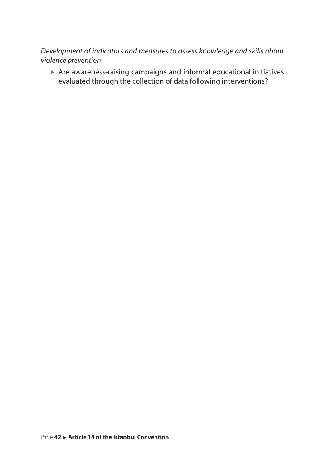*Development of indicators and measures to assess knowledge and skills about violence prevention*

 $\triangleright$  Are awareness-raising campaigns and informal educational initiatives evaluated through the collection of data following interventions?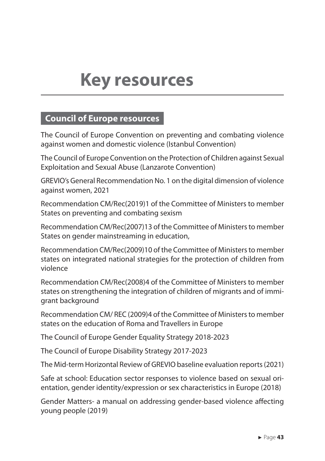## <span id="page-43-0"></span>**Council of Europe resources**

The Council of Europe Convention on preventing and combating violence against women and domestic violence (Istanbul Convention)

The Council of Europe Convention on the Protection of Children against Sexual Exploitation and Sexual Abuse (Lanzarote Convention)

GREVIO's General Recommendation No. 1 on the digital dimension of violence against women, 2021

Recommendation CM/Rec(2019)1 of the Committee of Ministers to member States on preventing and combating sexism

Recommendation CM/Rec(2007)13 of the Committee of Ministers to member States on gender mainstreaming in education,

Recommendation CM/Rec(2009)10 of the Committee of Ministers to member states on integrated national strategies for the protection of children from violence

Recommendation CM/Rec(2008)4 of the Committee of Ministers to member states on strengthening the integration of children of migrants and of immigrant background

Recommendation CM/ REC (2009)4 of the Committee of Ministers to member states on the education of Roma and Travellers in Europe

The Council of Europe Gender Equality Strategy 2018-2023

The Council of Europe Disability Strategy 2017-2023

The Mid-term Horizontal Review of GREVIO baseline evaluation reports (2021)

Safe at school: Education sector responses to violence based on sexual orientation, gender identity/expression or sex characteristics in Europe (2018)

Gender Matters- a manual on addressing gender-based violence affecting young people (2019)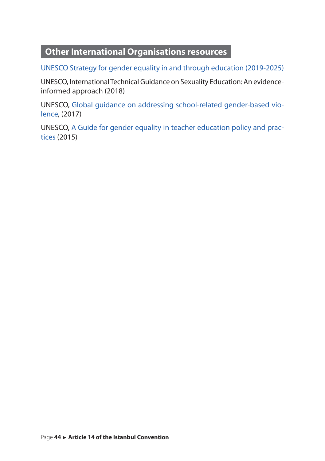## <span id="page-44-0"></span>**Other International Organisations resources**

[UNESCO Strategy for gender equality in and through education \(2019-2025\)](https://unesdoc.unesco.org/ark:/48223/pf0000369000)

UNESCO, International Technical Guidance on Sexuality Education: An evidenceinformed approach (2018)

UNESCO, [Global guidance on addressing school-related gender-based vio](http://unesdoc.unesco.org/images/0024/002466/246651e.pdf)[lence,](http://unesdoc.unesco.org/images/0024/002466/246651e.pdf) (2017)

UNESCO, [A Guide for gender equality in teacher education policy and prac](http://unesdoc.unesco.org/images/0023/002316/231646e.pdf)[tices](http://unesdoc.unesco.org/images/0023/002316/231646e.pdf) (2015)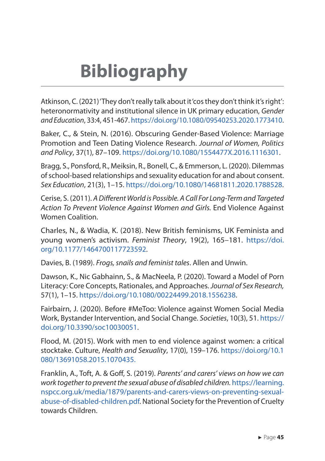<span id="page-45-0"></span>Atkinson, C. (2021) 'They don't really talk about it 'cos they don't think it's right': heteronormativity and institutional silence in UK primary education, *Gender and Education*, 33:4, 451-467. [https://doi.org/10.1080/09540253.2020.1773410.](https://doi.org/10.1080/09540253.2020.1773410)

Baker, C., & Stein, N. (2016). Obscuring Gender-Based Violence: Marriage Promotion and Teen Dating Violence Research. *Journal of Women, Politics and Policy*, 37(1), 87–109.<https://doi.org/10.1080/1554477X.2016.1116301>.

Bragg, S., Ponsford, R., Meiksin, R., Bonell, C., & Emmerson, L. (2020). Dilemmas of school-based relationships and sexuality education for and about consent. *Sex Education*, 21(3), 1–15. [https://doi.org/10.1080/14681811.2020.1788528.](https://doi.org/10.1080/14681811.2020.1788528)

Cerise, S. (2011). *A Different World is Possible. A Call For Long-Term and Targeted Action To Prevent Violence Against Women and Girls.* End Violence Against Women Coalition.

Charles, N., & Wadia, K. (2018). New British feminisms, UK Feminista and young women's activism. *Feminist Theory*, 19(2), 165–181. [https://doi.](https://doi.org/10.1177/1464700117723592) [org/10.1177/1464700117723592.](https://doi.org/10.1177/1464700117723592)

Davies, B. (1989). *Frogs, snails and feminist tales*. Allen and Unwin.

Dawson, K., Nic Gabhainn, S., & MacNeela, P. (2020). Toward a Model of Porn Literacy: Core Concepts, Rationales, and Approaches. *Journal of Sex Research,* 57(1), 1–15. <https://doi.org/10.1080/00224499.2018.1556238>.

Fairbairn, J. (2020). Before #MeToo: Violence against Women Social Media Work, Bystander Intervention, and Social Change. *Societies*, 10(3), 51. [https://](https://doi.org/10.3390/soc10030051) [doi.org/10.3390/soc10030051](https://doi.org/10.3390/soc10030051).

Flood, M. (2015). Work with men to end violence against women: a critical stocktake. Culture, *Health and Sexuality*, 17(0), 159–176. [https://doi.org/10.1](https://doi.org/10.1080/13691058.2015.1070435) [080/13691058.2015.1070435](https://doi.org/10.1080/13691058.2015.1070435).

Franklin, A., Toft, A. & Goff, S. (2019). *Parents' and carers' views on how we can work together to prevent the sexual abuse of disabled children.* [https://learning.](https://learning.nspcc.org.uk/media/1879/parents-and-carers-views-on-preventing-sexual-abuse-of-disabled-children.pdf) [nspcc.org.uk/media/1879/parents-and-carers-views-on-preventing-sexual](https://learning.nspcc.org.uk/media/1879/parents-and-carers-views-on-preventing-sexual-abuse-of-disabled-children.pdf)[abuse-of-disabled-children.pdf](https://learning.nspcc.org.uk/media/1879/parents-and-carers-views-on-preventing-sexual-abuse-of-disabled-children.pdf). National Society for the Prevention of Cruelty towards Children.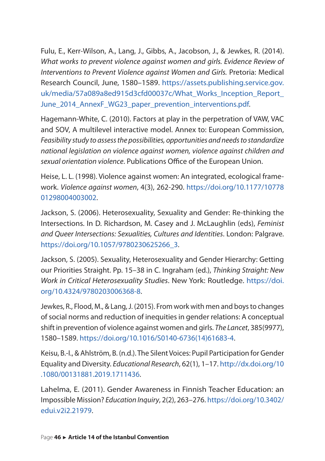Fulu, E., Kerr-Wilson, A., Lang, J., Gibbs, A., Jacobson, J., & Jewkes, R. (2014). *What works to prevent violence against women and girls. Evidence Review of Interventions to Prevent Violence against Women and Girls.* Pretoria: Medical Research Council, June, 1580–1589. [https://assets.publishing.service.gov.](https://assets.publishing.service.gov.uk/media/57a089a8ed915d3cfd00037c/What_Works_Inception_Report_June_2014_AnnexF_WG23_paper_prevention_interventions.pdf) [uk/media/57a089a8ed915d3cfd00037c/What\\_Works\\_Inception\\_Report\\_](https://assets.publishing.service.gov.uk/media/57a089a8ed915d3cfd00037c/What_Works_Inception_Report_June_2014_AnnexF_WG23_paper_prevention_interventions.pdf) [June\\_2014\\_AnnexF\\_WG23\\_paper\\_prevention\\_interventions.pdf.](https://assets.publishing.service.gov.uk/media/57a089a8ed915d3cfd00037c/What_Works_Inception_Report_June_2014_AnnexF_WG23_paper_prevention_interventions.pdf)

Hagemann-White, C. (2010). Factors at play in the perpetration of VAW, VAC and SOV, A multilevel interactive model. Annex to: European Commission, *Feasibility study to assess the possibilities, opportunities and needs to standardize national legislation on violence against women, violence against children and sexual orientation violence*. Publications Office of the European Union.

Heise, L. L. (1998). Violence against women: An integrated, ecological framework. *Violence against women*, 4(3), 262-290. [https://doi.org/10.1177/10778](https://doi.org/10.1177/1077801298004003002) [01298004003002.](https://doi.org/10.1177/1077801298004003002)

Jackson, S. (2006). Heterosexuality, Sexuality and Gender: Re-thinking the Intersections. In D. Richardson, M. Casey and J. McLaughlin (eds), *Feminist and Queer Intersections: Sexualities, Cultures and Identities*. London: Palgrave. [https://doi.org/10.1057/9780230625266\\_3.](https://doi.org/10.1057/9780230625266_3)

Jackson, S. (2005). Sexuality, Heterosexuality and Gender Hierarchy: Getting our Priorities Straight. Pp. 15–38 in C. Ingraham (ed.), *Thinking Straight: New Work in Critical Heterosexuality Studies*. New York: Routledge. [https://doi.](https://doi.org/10.4324/9780203006368-8) [org/10.4324/9780203006368-8.](https://doi.org/10.4324/9780203006368-8)

Jewkes, R., Flood, M., & Lang, J. (2015). From work with men and boys to changes of social norms and reduction of inequities in gender relations: A conceptual shift in prevention of violence against women and girls. *The Lancet*, 385(9977), 1580–1589. [https://doi.org/10.1016/S0140-6736\(14\)61683-4](https://doi.org/10.1016/S0140-6736(14)61683-4).

Keisu, B.-I., & Ahlström, B. (n.d.). The Silent Voices: Pupil Participation for Gender Equality and Diversity. *Educational Research*, 62(1), 1–17. [http://dx.doi.org/10](http://dx.doi.org/10.1080/00131881.2019.1711436) [.1080/00131881.2019.1711436](http://dx.doi.org/10.1080/00131881.2019.1711436).

Lahelma, E. (2011). Gender Awareness in Finnish Teacher Education: an Impossible Mission? *Education Inquiry*, 2(2), 263–276. [https://doi.org/10.3402/](https://doi.org/10.3402/edui.v2i2.21979) [edui.v2i2.21979](https://doi.org/10.3402/edui.v2i2.21979).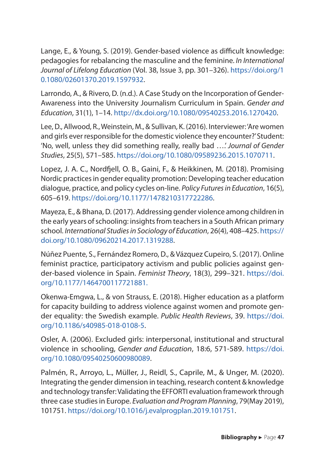Lange, E., & Young, S. (2019). Gender-based violence as difficult knowledge: pedagogies for rebalancing the masculine and the feminine. *In International Journal of Lifelong Education* (Vol. 38, Issue 3, pp. 301–326). [https://doi.org/1](https://doi.org/10.1080/02601370.2019.1597932) [0.1080/02601370.2019.1597932](https://doi.org/10.1080/02601370.2019.1597932).

Larrondo, A., & Rivero, D. (n.d.). A Case Study on the Incorporation of Gender-Awareness into the University Journalism Curriculum in Spain. *Gender and Education*, 31(1), 1–14.<http://dx.doi.org/10.1080/09540253.2016.1270420>.

Lee, D., Allwood, R., Weinstein, M., & Sullivan, K. (2016). Interviewer: 'Are women and girls ever responsible for the domestic violence they encounter?' Student: 'No, well, unless they did something really, really bad ….' *Journal of Gender Studies*, 25(5), 571–585. [https://doi.org/10.1080/09589236.2015.1070711.](https://doi.org/10.1080/09589236.2015.1070711)

Lopez, J. A. C., Nordfjell, O. B., Gaini, F., & Heikkinen, M. (2018). Promising Nordic practices in gender equality promotion: Developing teacher education dialogue, practice, and policy cycles on-line. *Policy Futures in Education*, 16(5), 605–619. <https://doi.org/10.1177/1478210317722286>.

Mayeza, E., & Bhana, D. (2017). Addressing gender violence among children in the early years of schooling: insights from teachers in a South African primary school. *International Studies in Sociology of Education*, 26(4), 408–425. [https://](https://doi.org/10.1080/09620214.2017.1319288) [doi.org/10.1080/09620214.2017.1319288.](https://doi.org/10.1080/09620214.2017.1319288)

Núñez Puente, S., Fernández Romero, D., & Vázquez Cupeiro, S. (2017). Online feminist practice, participatory activism and public policies against gender-based violence in Spain. *Feminist Theory*, 18(3), 299–321. [https://doi.](https://doi.org/10.1177/1464700117721881) [org/10.1177/1464700117721881.](https://doi.org/10.1177/1464700117721881)

Okenwa-Emgwa, L., & von Strauss, E. (2018). Higher education as a platform for capacity building to address violence against women and promote gender equality: the Swedish example. *Public Health Reviews*, 39. [https://doi.](https://doi.org/10.1186/s40985-018-0108-5) [org/10.1186/s40985-018-0108-5.](https://doi.org/10.1186/s40985-018-0108-5)

Osler, A. (2006). Excluded girls: interpersonal, institutional and structural violence in schooling, *Gender and Education*, 18:6, 571-589. [https://doi.](https://doi.org/10.1080/09540250600980089) [org/10.1080/09540250600980089.](https://doi.org/10.1080/09540250600980089)

Palmén, R., Arroyo, L., Müller, J., Reidl, S., Caprile, M., & Unger, M. (2020). Integrating the gender dimension in teaching, research content & knowledge and technology transfer: Validating the EFFORTI evaluation framework through three case studies in Europe. *Evaluation and Program Planning*, 79(May 2019), 101751. <https://doi.org/10.1016/j.evalprogplan.2019.101751>.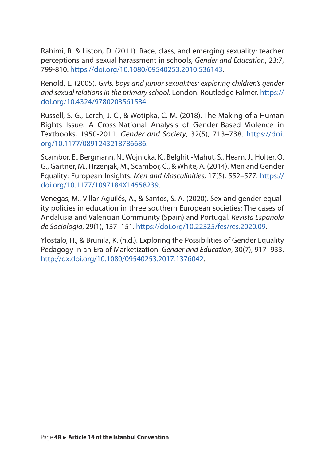Rahimi, R. & Liston, D. (2011). Race, class, and emerging sexuality: teacher perceptions and sexual harassment in schools, *Gender and Education*, 23:7, 799-810. <https://doi.org/10.1080/09540253.2010.536143>.

Renold, E. (2005). *Girls, boys and junior sexualities: exploring children's gender and sexual relations in the primary school*. London: Routledge Falmer. [https://](https://doi.org/10.4324/9780203561584) [doi.org/10.4324/9780203561584.](https://doi.org/10.4324/9780203561584)

Russell, S. G., Lerch, J. C., & Wotipka, C. M. (2018). The Making of a Human Rights Issue: A Cross-National Analysis of Gender-Based Violence in Textbooks, 1950-2011. *Gender and Society*, 32(5), 713–738. [https://doi.](https://doi.org/10.1177/0891243218786686) [org/10.1177/0891243218786686.](https://doi.org/10.1177/0891243218786686)

Scambor, E., Bergmann, N., Wojnicka, K., Belghiti-Mahut, S., Hearn, J., Holter, O. G., Gartner, M., Hrzenjak, M., Scambor, C., & White, A. (2014). Men and Gender Equality: European Insights. *Men and Masculinities*, 17(5), 552–577. [https://](https://doi.org/10.1177/1097184X14558239) [doi.org/10.1177/1097184X14558239.](https://doi.org/10.1177/1097184X14558239)

Venegas, M., Villar-Aguilés, A., & Santos, S. A. (2020). Sex and gender equality policies in education in three southern European societies: The cases of Andalusia and Valencian Community (Spain) and Portugal. *Revista Espanola de Sociologia*, 29(1), 137–151. [https://doi.org/10.22325/fes/res.2020.09.](https://doi.org/10.22325/fes/res.2020.09)

Ylöstalo, H., & Brunila, K. (n.d.). Exploring the Possibilities of Gender Equality Pedagogy in an Era of Marketization. *Gender and Education*, 30(7), 917–933. [http://dx.doi.org/10.1080/09540253.2017.1376042.](http://dx.doi.org/10.1080/09540253.2017.1376042)